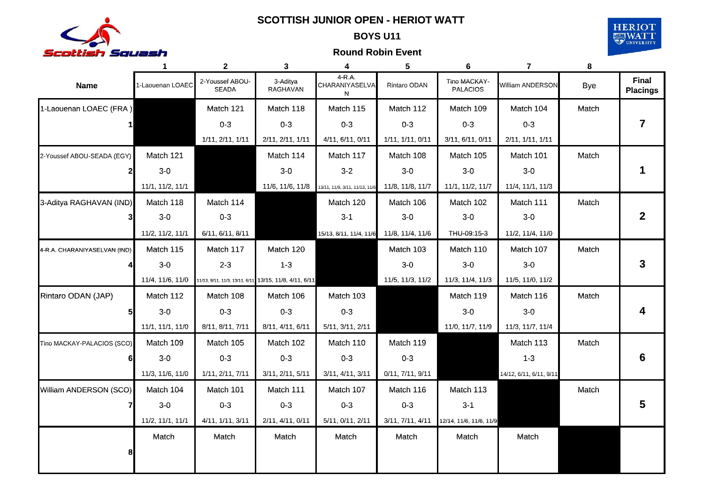

### BOYS **SCOTTISH JUNIOR OPEN HERIOT WATT -SCOTTISH JUNIOR OPEN - HERIOT**

**BOYS U11 BOYS** 



|                              | 1                | $\mathbf{2}$                                           | 3                           | 4                              | 5                | 6                               | $\overline{\mathbf{z}}$ | 8          |                                 |
|------------------------------|------------------|--------------------------------------------------------|-----------------------------|--------------------------------|------------------|---------------------------------|-------------------------|------------|---------------------------------|
| <b>Name</b>                  | 1-Laouenan LOAEC | 2-Youssef ABOU-<br><b>SEADA</b>                        | 3-Aditya<br><b>RAGHAVAN</b> | 4-R.A.<br>CHARANIYASELVA<br>N  | Rintaro ODAN     | Tino MACKAY-<br><b>PALACIOS</b> | William ANDERSON        | <b>Bye</b> | <b>Final</b><br><b>Placings</b> |
| 1-Laouenan LOAEC (FRA)       |                  | Match 121                                              | Match 118                   | Match 115                      | Match 112        | Match 109                       | Match 104               | Match      |                                 |
|                              |                  | $0 - 3$                                                | $0 - 3$                     | $0 - 3$                        | $0 - 3$          | $0 - 3$                         | $0 - 3$                 |            | 7                               |
|                              |                  | 1/11, 2/11, 1/11                                       | 2/11, 2/11, 1/11            | 4/11, 6/11, 0/11               | 1/11, 1/11, 0/11 | 3/11, 6/11, 0/11                | 2/11, 1/11, 1/11        |            |                                 |
| 2-Youssef ABOU-SEADA (EGY)   | Match 121        |                                                        | Match 114                   | Match 117                      | Match 108        | Match 105                       | Match 101               | Match      |                                 |
| $\mathbf{2}$                 | $3-0$            |                                                        | $3-0$                       | $3-2$                          | $3-0$            | $3-0$                           | $3-0$                   |            |                                 |
|                              | 11/1, 11/2, 11/1 |                                                        | 11/6, 11/6, 11/8            | 13/11, 11/9, 3/11, 11/13, 11/6 | 11/8, 11/8, 11/7 | 11/1, 11/2, 11/7                | 11/4, 11/1, 11/3        |            |                                 |
| 3-Aditya RAGHAVAN (IND)      | Match 118        | Match 114                                              |                             | Match 120                      | Match 106        | Match 102                       | Match 111               | Match      |                                 |
|                              | $3-0$            | $0-3$                                                  |                             | $3 - 1$                        | $3-0$            | $3-0$                           | $3-0$                   |            | $\mathbf{2}$                    |
|                              | 11/2, 11/2, 11/1 | 6/11, 6/11, 8/11                                       |                             | 15/13, 8/11, 11/4, 11/6        | 11/8, 11/4, 11/6 | THU-09:15-3                     | 11/2, 11/4, 11/0        |            |                                 |
| 4-R.A. CHARANIYASELVAN (IND) | Match 115        | Match 117                                              | Match 120                   |                                | Match 103        | Match 110                       | Match 107               | Match      |                                 |
|                              | $3-0$            | $2 - 3$                                                | $1 - 3$                     |                                | $3-0$            | $3-0$                           | $3-0$                   |            | 3                               |
|                              | 11/4, 11/6, 11/0 | 11/13, 9/11, 11/3, 13/11, 6/11 13/15, 11/8, 4/11, 6/11 |                             |                                | 11/5, 11/3, 11/2 | 11/3, 11/4, 11/3                | 11/5, 11/0, 11/2        |            |                                 |
| Rintaro ODAN (JAP)           | Match 112        | Match 108                                              | Match 106                   | Match 103                      |                  | Match 119                       | Match 116               | Match      |                                 |
| 5 <sub>l</sub>               | $3-0$            | $0-3$                                                  | $0 - 3$                     | $0 - 3$                        |                  | $3-0$                           | $3-0$                   |            |                                 |
|                              | 11/1, 11/1, 11/0 | 8/11, 8/11, 7/11                                       | 8/11, 4/11, 6/11            | 5/11, 3/11, 2/11               |                  | 11/0, 11/7, 11/9                | 11/3, 11/7, 11/4        |            |                                 |
| Tino MACKAY-PALACIOS (SCO)   | Match 109        | Match 105                                              | Match 102                   | Match 110                      | Match 119        |                                 | Match 113               | Match      |                                 |
| 61                           | $3-0$            | $0 - 3$                                                | $0 - 3$                     | $0 - 3$                        | $0 - 3$          |                                 | $1 - 3$                 |            | 6                               |
|                              | 11/3, 11/6, 11/0 | 1/11, 2/11, 7/11                                       | 3/11, 2/11, 5/11            | 3/11, 4/11, 3/11               | 0/11, 7/11, 9/11 |                                 | 14/12, 6/11, 6/11, 9/11 |            |                                 |
| William ANDERSON (SCO)       | Match 104        | Match 101                                              | Match 111                   | Match 107                      | Match 116        | Match 113                       |                         | Match      |                                 |
|                              | $3-0$            | $0 - 3$                                                | $0 - 3$                     | $0-3$                          | $0 - 3$          | $3 - 1$                         |                         |            | 5                               |
|                              | 11/2, 11/1, 11/1 | 4/11, 1/11, 3/11                                       | 2/11, 4/11, 0/11            | 5/11, 0/11, 2/11               | 3/11, 7/11, 4/11 | 12/14, 11/6, 11/6, 11/9         |                         |            |                                 |
|                              | Match            | Match                                                  | Match                       | Match                          | Match            | Match                           | Match                   |            |                                 |
| 8                            |                  |                                                        |                             |                                |                  |                                 |                         |            |                                 |
|                              |                  |                                                        |                             |                                |                  |                                 |                         |            |                                 |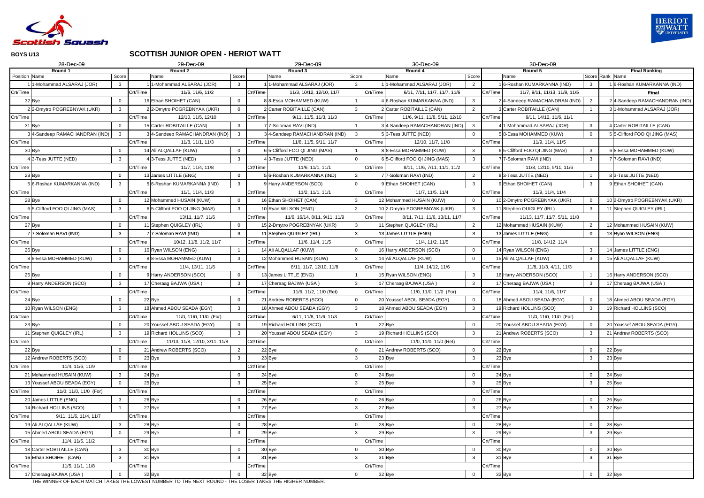

### **SCOTTISH JUNIOR OPEN - HERIOT WATT**

| 28-Dec-09                                                                                                                                   |                |          | 29-Dec-09                                      |          | 29-Dec-09                                   |          | 30-Dec-09                      |                | 30-Dec-09                                 |                |                                         |
|---------------------------------------------------------------------------------------------------------------------------------------------|----------------|----------|------------------------------------------------|----------|---------------------------------------------|----------|--------------------------------|----------------|-------------------------------------------|----------------|-----------------------------------------|
| Round 1<br>Position Name                                                                                                                    | Score          |          | Round 2<br>Name<br>Score                       |          | Round 3<br>Name<br>Score                    |          | Round 4<br>Name                | Score          | Round 5<br>Name                           |                | <b>Final Ranking</b><br>Score Rank Name |
| -Mohammad ALSARAJ (JOR)                                                                                                                     | $\mathbf{3}$   |          | 1-Mohammad ALSARAJ (JOR)<br>3                  |          | I-Mohammad ALSARAJ (JOR)<br>-3              |          | 1-Mohammad ALSARAJ (JOR)       | $\overline{2}$ | 6-Roshan KUMARKANNA (IND)                 | $\mathbf{3}$   | 16-Roshan KUMARKANNA (IND)              |
| Crt/Time                                                                                                                                    |                | Crt/Time | 11/6, 11/6, 11/2                               | Crt/Time | 11/3, 10/12, 12/10, 11/7                    | Crt/Time | 6/11, 7/11, 11/7, 11/7, 11/6   |                | Crt/Time<br>11/7, 9/11, 11/13, 11/8, 11/5 |                | Final                                   |
| 32 Bye                                                                                                                                      | $\Omega$       |          | 16 Ethan SHOIHET (CAN)                         |          | 8 8-Essa MOHAMMED (KUW)                     |          | 4 6-Roshan KUMARKANNA (IND)    | $\mathbf{3}$   | 24-Sandeep RAMACHANDRAN (IND)             | $\overline{2}$ | 24-Sandeep RAMACHANDRAN (IND)           |
| 22-Dmytro POGREBNYAK (UKR)                                                                                                                  | $\mathbf{3}$   |          | 22-Dmytro POGREBNYAK (UKR)<br>$\Omega$         |          | 2 Carter ROBITAILLE (CAN)<br>3              |          | 2 Carter ROBITAILLE (CAN)      | $\overline{2}$ | 3 Carter ROBITAILLE (CAN)                 |                | 3 1-Mohammad ALSARAJ (JOR)              |
| Crt/Time                                                                                                                                    |                | Crt/Time | 12/10, 11/5, 12/10                             | Crt/Time | 9/11, 11/5, 11/3, 11/3                      | Crt/Time | 11/6, 9/11, 11/8, 5/11, 12/10  |                | Crt/Time<br>9/11, 14/12, 11/6, 11/1       |                |                                         |
| 31 Bye                                                                                                                                      | $\overline{0}$ |          | 15 Carter ROBITAILLE (CAN)<br>$\mathbf{3}$     |          | 7 7-Soloman RAVI (IND)                      |          | 34-Sandeep RAMACHANDRAN (IND)  | $\mathbf{3}$   | 4 1-Mohammad ALSARAJ (JOR)                | $\mathbf{3}$   | 4 Carter ROBITAILLE (CAN)               |
| 4-Sandeep RAMACHANDRAN (IND)                                                                                                                | $\mathbf{3}$   |          | 4-Sandeep RAMACHANDRAN (IND)<br>$\mathbf{3}$   |          | 34-Sandeep RAMACHANDRAN (IND)<br>3          |          | 53-Tess JUTTE (NED)            | $\overline{0}$ | 58-Essa MOHAMMED (KUW)                    | $\overline{0}$ | 5 5-Clifford FOO QI JING (MAS)          |
| Crt/Time                                                                                                                                    |                | Crt/Time | 11/8, 11/1, 11/3                               | Crt/Time | 11/8, 11/5, 9/11, 11/7                      | Crt/Time | 12/10, 11/7, 11/8              |                | Crt/Time<br>11/9, 11/4, 11/5              |                |                                         |
| 30 Bye                                                                                                                                      | $\Omega$       |          | 14 Ali ALQALLAF (KUW)<br>$\Omega$              |          | 6 5-Clifford FOO QI JING (MAS)              |          | 8 8-Essa MOHAMMED (KUW)        | $\overline{3}$ | 6 5-Clifford FOO QI JING (MAS)            | $\mathbf{3}$   | 6 8-Essa MOHAMMED (KUW)                 |
| 3-Tess JUTTE (NED)                                                                                                                          | 3              |          | 3-Tess JUTTE (NED)<br>3                        |          | 3-Tess JUTTE (NED)                          |          | 6 5-Clifford FOO QI JING (MAS) | $\mathbf{3}$   | 77-Soloman RAVI (IND)                     | $\mathbf{3}$   | 77-Soloman RAVI (IND)                   |
| Crt/Time                                                                                                                                    |                | Crt/Time | 11/7, 11/4, 11/8                               | Crt/Time | 11/6, 11/1, 11/1                            | Crt/Time | 8/11, 11/6, 7/11, 11/1, 11/2   |                | Crt/Time<br>11/8, 12/10, 5/11, 11/6       |                |                                         |
| 29 Bye                                                                                                                                      | $\overline{0}$ |          | 13 James LITTLE (ENG)<br>$\Omega$              |          | 5 6-Roshan KUMARKANNA (IND)<br>3            |          | 7 7-Soloman RAVI (IND)         | $\overline{2}$ | 83-Tess JUTTE (NED)                       |                | 83-Tess JUTTE (NED)                     |
| 6-Roshan KUMARKANNA (IND)                                                                                                                   | $\mathbf{3}$   |          | 5 6-Roshan KUMARKANNA (IND)<br>$\mathbf{3}$    |          | 9 Harry ANDERSON (SCO)<br>$\Omega$          |          | 9 Ethan SHOIHET (CAN)          | $\mathbf{3}$   | 9 Ethan SHOIHET (CAN)                     | $\mathbf{3}$   | 9 Ethan SHOIHET (CAN)                   |
| Crt/Time                                                                                                                                    |                | Crt/Time | 11/1, 11/4, 11/3                               | Crt/Time | 11/2, 11/1, 11/1                            | Crt/Time | 11/7, 11/5, 11/4               |                | Crt/Time<br>11/9, 11/4, 11/4              |                |                                         |
| 28 Bye                                                                                                                                      | $\overline{0}$ |          | 12 Mohammed HUSAIN (KUW)<br>$\Omega$           |          | 16 Ethan SHOIHET (CAN)<br>3                 |          | 12 Mohammed HUSAIN (KUW)       | $\mathbf 0$    | 10 2-Dmytro POGREBNYAK (UKR)              | $\mathbf 0$    | 10 2-Dmytro POGREBNYAK (UKR)            |
| 6 5-Clifford FOO QI JING (MAS)                                                                                                              | $\mathbf{3}$   |          | 6 5-Clifford FOO QI JING (MAS)<br>$\mathbf{3}$ |          | 10 Ryan WILSON (ENG)<br>2                   |          | 10 2-Dmytro POGREBNYAK (UKR)   | $\mathbf{3}$   | 11 Stephen QUIGLEY (IRL)                  | $\overline{3}$ | 11 Stephen QUIGLEY (IRL)                |
| Crt/Time                                                                                                                                    |                | Crt/Time | 13/11, 11/7, 11/6                              | Crt/Time | 11/6, 16/14, 8/11, 9/11, 11/9               | Crt/Time | 8/11, 7/11, 11/6, 13/11, 11/7  |                | Crt/Time<br>11/13, 11/7, 11/7, 5/11, 11/8 |                |                                         |
| 27 Bye                                                                                                                                      | $\overline{0}$ |          | Stephen QUIGLEY (IRL)<br>$\Omega$              |          | 15 2-Dmytro POGREBNYAK (UKR)<br>3           |          | 11 Stephen QUIGLEY (IRL)       | 2              | 12 Mohammed HUSAIN (KUW)                  | $\overline{2}$ | 12 Mohammed HUSAIN (KUW)                |
| 77-Soloman RAVI (IND)                                                                                                                       | 3 <sup>1</sup> |          | 7-Soloman RAVI (IND)<br>3                      |          | 11 Stephen QUIGLEY (IRL)<br>3               |          | 13 James LITTLE (ENG)          | $\mathbf{3}$   | 13 James LITTLE (ENG)                     | $\Omega$       | 13 Ryan WILSON (ENG)                    |
| Crt/Time                                                                                                                                    |                | Crt/Time | 10/12, 11/8, 11/2, 11/7                        | Crt/Time | 11/6, 11/4, 11/5                            | Crt/Time | 11/4, 11/2, 11/5               |                | Crt/Time<br>11/8, 14/12, 11/4             |                |                                         |
| 26 Bye                                                                                                                                      | $\overline{0}$ |          | 10 Ryan WILSON (ENG)                           |          | 14 Ali ALQALLAF (KUW)<br>$\Omega$           |          | 16 Harry ANDERSON (SCO)        | $\overline{0}$ | 14 Ryan WILSON (ENG)                      | 3              | 14 James LITTLE (ENG)                   |
| 88-Essa MOHAMMED (KUW)                                                                                                                      | $\mathbf{3}$   |          | 8 8-Essa MOHAMMED (KUW)<br>$\mathbf{3}$        |          | 12 Mohammed HUSAIN (KUW)<br>$\mathbf{3}$    |          | 14 Ali ALQALLAF (KUW)          | $\overline{0}$ | 15 Ali ALQALLAF (KUW)                     | $\mathbf{3}$   | 15 Ali ALQALLAF (KUW)                   |
| Crt/Time                                                                                                                                    |                | Crt/Time | 11/4, 13/11, 11/6                              | Crt/Time | 8/11, 11/7, 12/10, 11/8                     | Crt/Time | 11/4, 14/12, 11/6              |                | Crt/Time<br>11/8, 11/3, 4/11, 11/3        |                |                                         |
| 25 Bye                                                                                                                                      | $\overline{0}$ |          | 9 Harry ANDERSON (SCO)<br>$\Omega$             |          | 13 James LITTLE (ENG)                       |          | 15 Ryan WILSON (ENG)           | $\mathbf{3}$   | 16 Harry ANDERSON (SCO)                   |                | 16 Harry ANDERSON (SCO)                 |
| Harry ANDERSON (SCO)                                                                                                                        | $\mathbf{3}$   |          | 17 Cheraag BAJWA (USA)<br>$\mathbf{3}$         |          | 17 Cheraag BAJWA (USA)<br>$\mathbf{3}$      |          | 17 Cheraag BAJWA (USA)         | $\mathbf{3}$   | 17 Cheraag BAJWA (USA)                    | $\mathbf{3}$   | 17 Cheraag BAJWA (USA)                  |
| Crt/Time                                                                                                                                    |                | Crt/Time |                                                | Crt/Time | 11/6, 11/2, 11/0 (Ret)                      | Crt/Time | 11/0, 11/0, 11/0 (For)         |                | Crt/Time<br>11/4, 11/6, 11/7              |                |                                         |
| 24 Bye                                                                                                                                      | $\overline{0}$ |          | 22 Bye                                         |          | 21 Andrew ROBERTS (SCO)<br>$\Omega$         |          | 20 Youssef ABOU SEADA (EGY)    | $\overline{0}$ | 18 Ahmed ABOU SEADA (EGY)                 | $\overline{0}$ | 18 Ahmed ABOU SEADA (EGY)               |
| 10 Ryan WILSON (ENG)                                                                                                                        | $\mathbf{3}$   |          | 18 Ahmed ABOU SEADA (EGY)<br>$\mathbf{3}$      |          | 18 Ahmed ABOU SEADA (EGY)<br>3              |          | 18 Ahmed ABOU SEADA (EGY)      | $\mathbf{3}$   | 19 Richard HOLLINS (SCO)                  | $\mathbf{3}$   | 19 Richard HOLLINS (SCO)                |
| Crt/Time                                                                                                                                    |                | Crt/Time | 11/0, 11/0, 11/0 (For)                         | Crt/Time | 6/11, 11/8, 11/6, 11/3                      | Crt/Time |                                |                | Crt/Time<br>11/0, 11/0, 11/0 (For)        |                |                                         |
| 23 Bye                                                                                                                                      | $\overline{0}$ |          | 20 Youssef ABOU SEADA (EGY)<br>$\Omega$        |          | 19 Richard HOLLINS (SCO)                    |          | 22 Bye                         | $\overline{0}$ | 20 Youssef ABOU SEADA (EGY)               | $\overline{0}$ | 20 Youssef ABOU SEADA (EGY)             |
| 11 Stephen QUIGLEY (IRL)                                                                                                                    | $\mathbf{3}$   |          | 19 Richard HOLLINS (SCO)<br>$\mathbf{3}$       |          | 20 Youssef ABOU SEADA (EGY)<br>$\mathbf{3}$ |          | 19 Richard HOLLINS (SCO)       | $\mathbf{3}$   | 21 Andrew ROBERTS (SCO)                   | $\mathbf{3}$   | 21 Andrew ROBERTS (SCO)                 |
| Crt/Time                                                                                                                                    |                | Crt/Time | 11/13, 11/8, 12/10, 3/11, 11/8                 | Crt/Time |                                             | Crt/Time | 11/0, 11/0, 11/0 (Ret)         |                | Crt/Time                                  |                |                                         |
| 22 Bye                                                                                                                                      | $\overline{0}$ |          | 21 Andrew ROBERTS (SCO)<br>$\overline{2}$      |          | 22 Bye<br>$\Omega$                          |          | 21 Andrew ROBERTS (SCO)        | $\mathbf 0$    | 22 Bye                                    | $\overline{0}$ | 22 Bye                                  |
| 12 Andrew ROBERTS (SCO)                                                                                                                     | $\Omega$       |          | 23 Bye<br>$\mathbf{3}$                         |          | 23 Bye<br>$\mathbf{3}$                      |          | 23 Bye                         | $\mathbf{3}$   | 23 Bye                                    | $\mathbf{3}$   | 23 Bye                                  |
| Crt/Time<br>11/4, 11/6, 11/9                                                                                                                |                | Crt/Time |                                                | Crt/Time |                                             | Crt/Time |                                |                | Crt/Time                                  |                |                                         |
| 21 Mohammed HUSAIN (KUW)                                                                                                                    | $3^{\circ}$    |          | 24 Bye                                         |          | 24 Bye<br>$\Omega$                          |          | 24 Bye                         | $\mathbf 0$    | 24 Bye                                    | $\mathbf 0$    | 24 Bye                                  |
| 13 Youssef ABOU SEADA (EGY)                                                                                                                 | $\overline{0}$ |          | 25 Bye<br>$\mathbf{3}$                         |          | 25 Bye<br>$\mathbf{3}$                      |          | 25 Bye                         | $\mathbf{3}$   | 25 Bye                                    | $\mathbf{3}$   | 25 Bye                                  |
| Crt/Time<br>11/0, 11/0, 11/0 (For)                                                                                                          |                | Crt/Time |                                                | Crt/Time |                                             | Crt/Time |                                |                | Crt/Time                                  |                |                                         |
| 20 James LITTLE (ENG)                                                                                                                       | $\mathbf{3}$   |          | 26 Bye<br>0                                    |          | 26 Bye<br>$\Omega$                          |          | 26 Bye                         | $\overline{0}$ | 26 Bye                                    | $\mathbf 0$    | 26 Bye                                  |
| 14 Richard HOLLINS (SCO)                                                                                                                    |                |          | 27 Bye<br>$\mathbf{3}$                         |          | 27 Bye<br>$\mathbf{3}$                      |          | 27 Bye                         | $\mathbf{3}$   | 27 Bye                                    | 3              | 27 Bye                                  |
| Crt/Time<br>9/11, 11/6, 11/4, 11/7                                                                                                          |                | Crt/Time |                                                | Crt/Time |                                             | Crt/Time |                                |                | Crt/Time                                  |                |                                         |
| 19 Ali ALQALLAF (KUW)                                                                                                                       | $\mathbf{3}$   |          | 28 Bye                                         |          | 28 Bye                                      |          | 28 Bye                         | $\overline{0}$ | 28 Bye                                    | $\mathbf 0$    | 28 Bye                                  |
| 15 Ahmed ABOU SEADA (EGY)                                                                                                                   | $\Omega$       |          | 29 Bye<br>3                                    |          | 29 Bye<br>3                                 |          | 29 Bye                         | $\mathbf{3}$   | 29 Bye                                    | 3              | 29 Bye                                  |
| Crt/Time<br>11/4, 11/5, 11/2                                                                                                                |                | Crt/Time |                                                | Crt/Time |                                             | Crt/Time |                                |                | Crt/Time                                  |                |                                         |
| 18 Carter ROBITAILLE (CAN)                                                                                                                  | $\mathbf{3}$   |          | 30 Bye<br>0                                    |          | 30 Bye<br>$\Omega$                          |          | 30 Bye                         | $\overline{0}$ | 30 Bye                                    | $\mathbf 0$    | 30 Bye                                  |
| 16 Ethan SHOIHET (CAN)                                                                                                                      | 3 <sup>1</sup> |          | 31 Bye<br>$\mathbf{3}$                         |          | 31 Bye<br>$\mathbf{3}$                      |          | 31 Bye                         | $\mathbf{3}$   | 31 Bye                                    | 3              | 31 Bye                                  |
| Crt/Time<br>11/5, 11/1, 11/8                                                                                                                |                | Crt/Time |                                                | Crt/Time |                                             | Crt/Time |                                |                | Crt/Time                                  |                |                                         |
| 17 Cheraag BAJWA (USA)<br>$(1)$ $(1)$ $(5)$ $(6)$ $(1)$ $(1)$ $(2)$ $(5)$ $(1)$ $(5)$ $(6)$ $(1)$ $(1)$ $(1)$ $(1)$ $(1)$ $(5)$ $(5)$ $(6)$ | $\overline{0}$ |          | 32 Bye                                         |          | 32 Bye<br>$\Omega$                          |          | 32 Bye                         | $\overline{0}$ | 32 Bye                                    | $\mathbf{0}$   | 32 Bye                                  |

THE WINNER OF EACH MATCH TAKES THE LOWEST NUMBER TO THE NEXT ROUND - THE LOSER TAKES THE HIGHER NUMBER.

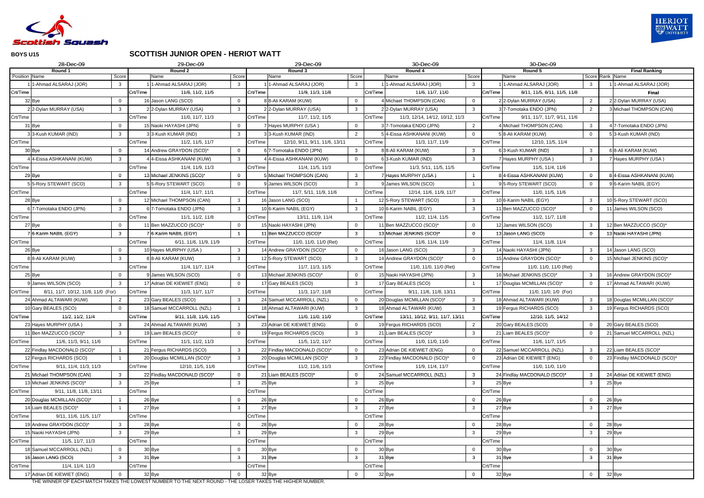

#### **SCOTTISH JUNIOR OPEN - HERIOT WATT**

|               | 28-Dec-09                                                           |                |          | 29-Dec-09                                  |          | 29-Dec-09                                                                       |                | 30-Dec-09                                   |                | 30-Dec-09                                |                |                                          |
|---------------|---------------------------------------------------------------------|----------------|----------|--------------------------------------------|----------|---------------------------------------------------------------------------------|----------------|---------------------------------------------|----------------|------------------------------------------|----------------|------------------------------------------|
|               | Round 1                                                             |                |          | Round 2                                    |          | Round 3                                                                         |                | Round 4                                     |                | Round 5                                  |                | <b>Final Ranking</b>                     |
| Position Name | 1-Ahmad ALSARAJ (JOR)                                               | Score          |          | Name<br>Score<br>1-Ahmad ALSARAJ (JOR)     |          | Name<br>1-Ahmad ALSARAJ (JOR)                                                   | Score<br>3     | Name                                        | Score          | Name<br>1-Ahmad ALSARAJ (JOR)            |                | Score Rank Name<br>1-Ahmad ALSARAJ (JOR) |
|               |                                                                     | 3              |          | $\mathbf{3}$                               |          |                                                                                 |                | 11-Ahmad ALSARAJ (JOR)                      | $\mathbf{3}$   |                                          | $\mathbf{3}$   |                                          |
| Crt/Time      |                                                                     |                | Crt/Time | 11/6, 11/2, 11/5                           | Crt/Time | 11/9, 11/3, 11/8                                                                |                | Crt/Time<br>11/6, 11/7, 11/0                |                | Crt/Time<br>8/11, 11/5, 8/11, 11/5, 11/8 |                | <b>Final</b>                             |
|               | 32 Bye                                                              |                |          | 16 Jason LANG (SCO)                        |          | 8 8-Ali KARAM (KUW)                                                             |                | 4 Michael THOMPSON (CAN)                    | $\mathbf 0$    | 2 2-Dylan MURRAY (USA)                   | $\overline{2}$ | 2 2-Dylan MURRAY (USA)                   |
|               | 2 2-Dylan MURRAY (USA)                                              | $\mathbf{3}$   |          | 2 2-Dylan MURRAY (USA)<br>3                |          | 2 2-Dylan MURRAY (USA)                                                          | 3              | 22-Dylan MURRAY (USA)                       | $\mathbf{3}$   | 37-Tomotaka ENDO (JPN)                   | 2              | 3 Michael THOMPSON (CAN)                 |
| Crt/Time      |                                                                     |                | Crt/Time | 11/0, 11/7, 11/3                           | Crt/Time | 11/7, 11/2, 11/5                                                                |                | Crt/Time<br>11/3, 12/14, 14/12, 10/12, 11/3 |                | Crt/Time<br>9/11, 11/7, 11/7, 9/11, 11/6 |                |                                          |
|               | 31 Bye                                                              | $\Omega$       |          | 15 Naoki HAYASHI (JPN)<br>$\Omega$         |          | 7 Hayes MURPHY (USA)                                                            | $\Omega$       | 3 7-Tomotaka ENDO (JPN)                     | 2              | 4 Michael THOMPSON (CAN)                 | $\mathbf{3}$   | 4 7-Tomotaka ENDO (JPN)                  |
|               | 33-Kush KUMAR (IND)                                                 | $\mathbf{3}$   |          | 33-Kush KUMAR (IND)<br>3                   |          | 3 3-Kush KUMAR (IND)                                                            | $\overline{2}$ | 54-Eissa ASHKANANI (KUW)                    | $\overline{0}$ | 5 8-Ali KARAM (KUW)                      | $\overline{0}$ | 53-Kush KUMAR (IND)                      |
| Crt/Time      |                                                                     |                | Crt/Time | 11/2, 11/5, 11/7                           | Crt/Time | 12/10, 9/11, 9/11, 11/6, 13/11                                                  |                | Crt/Time<br>11/3, 11/7, 11/9                |                | Crt/Time<br>12/10, 11/5, 11/4            |                |                                          |
|               | 30 Bye                                                              | $\Omega$       |          | 14 Andrew GRAYDON (SCO)*<br>$\Omega$       |          | 6 7-Tomotaka ENDO (JPN)                                                         | 3              | 8 8-Ali KARAM (KUW)                         | $\mathbf{3}$   | 63-Kush KUMAR (IND)                      | $\mathbf{3}$   | 6 8-Ali KARAM (KUW)                      |
|               | 44-Eissa ASHKANANI (KUW)                                            | $\mathbf{3}$   |          | 4 4-Eissa ASHKANANI (KUW)<br>$\mathbf{3}$  |          | 4 4-Eissa ASHKANANI (KUW)                                                       | $\Omega$       | 6 3-Kush KUMAR (IND)                        | $\mathbf{3}$   | Hayes MURPHY (USA)                       | $\mathbf{3}$   | 7 Hayes MURPHY (USA)                     |
| Crt/Time      |                                                                     |                | Crt/Time | 11/4, 11/9, 11/3                           | Crt/Time | 11/4, 11/5, 11/3                                                                |                | 11/3, 5/11, 11/5, 11/5<br>Crt/Time          |                | Crt/Time<br>11/5, 11/4, 11/6             |                |                                          |
|               | 29 Bye                                                              | $\mathbf 0$    |          | 13 Michael JENKINS (SCO)*<br>$\mathbf 0$   |          | 5 Michael THOMPSON (CAN)                                                        | 3              | 7 Hayes MURPHY (USA)                        |                | 8 4-Eissa ASHKANANI (KUW)                | $\mathbf 0$    | 8 4-Eissa ASHKANANI (KUW)                |
|               | 55-Rory STEWART (SCO)                                               | 3              |          | 5 5-Rory STEWART (SCO)                     |          | 9 James WILSON (SCO)                                                            | 3              | 9 James WILSON (SCO)                        |                | 95-Rory STEWART (SCO)                    | $\overline{0}$ | 96-Karim NABIL (EGY)                     |
| Crt/Time      |                                                                     |                | Crt/Time | 11/4, 11/7, 11/1                           | Crt/Time | 11/7, 5/11, 11/9, 11/6                                                          |                | Crt/Time<br>12/14, 11/6, 11/9, 11/7         |                | Crt/Time<br>11/0, 11/5, 11/6             |                |                                          |
|               | 28 Bye                                                              | $\Omega$       |          | 12 Michael THOMPSON (CAN)<br>3             |          | 16 Jason LANG (SCO)                                                             |                | 12 5-Rory STEWART (SCO)                     | $\mathbf{3}$   | 10 6-Karim NABIL (EGY)                   | $\mathbf{3}$   | 10 5-Rory STEWART (SCO)                  |
|               | 67-Tomotaka ENDO (JPN)                                              | $\mathbf{3}$   |          | 67-Tomotaka ENDO (JPN)<br>$\mathbf{3}$     |          | 106-Karim NABIL (EGY)                                                           | 3              | 10 6-Karim NABIL (EGY)                      | $\mathbf{3}$   | 11 Ben MAZZUCCO (SCO)*                   | $\overline{0}$ | 11 James WILSON (SCO)                    |
| Crt/Time      |                                                                     |                | Crt/Time | 11/1, 11/2, 11/8                           | Crt/Time | 13/11, 11/9, 11/4                                                               |                | Crt/Time<br>11/2, 11/4, 11/5                |                | Crt/Time<br>11/2, 11/7, 11/8             |                |                                          |
|               | 27 Bye                                                              | 0              |          | 11 Ben MAZZUCCO (SCO)*                     |          | 15 Naoki HAYASHI (JPN)                                                          | $\mathbf 0$    | 11 Ben MAZZUCCO (SCO)*                      | $\overline{0}$ | 12 James WILSON (SCO)                    | $\mathbf{3}$   | 12 Ben MAZZUCCO (SCO)*                   |
|               | 76-Karim NABIL (EGY)                                                | $\mathbf{3}$   |          | 7 6-Karim NABIL (EGY)                      |          | 11 Ben MAZZUCCO (SCO)*                                                          | $\mathbf{3}$   | 13 Michael JENKINS (SCO)*                   | $\mathbf 0$    | 13 Jason LANG (SCO)                      | $\mathbf{0}$   | 13 Naoki HAYASHI (JPN)                   |
| Crt/Time      |                                                                     |                | Crt/Time | 6/11, 11/6, 11/9, 11/9                     | Crt/Time | 11/0, 11/0, 11/0 (Ret)                                                          |                | Crt/Time<br>11/6, 11/4, 11/9                |                | Crt/Time<br>11/4, 11/8, 11/4             |                |                                          |
|               | 26 Bye                                                              | $\mathbf{0}$   |          | 10 Hayes MURPHY (USA)                      |          | 14 Andrew GRAYDON (SCO)*                                                        | $\mathbf 0$    | 16 Jason LANG (SCO)                         | $\mathbf{3}$   | 14 Naoki HAYASHI (JPN)                   | $\mathbf{3}$   | 14 Jason LANG (SCO)                      |
|               | 8 8-Ali KARAM (KUW)                                                 | $\mathbf{3}$   |          | 8 8-Ali KARAM (KUW)<br>$\mathbf{3}$        |          | 12 5-Rory STEWART (SCO)                                                         | 3              | 14 Andrew GRAYDON (SCO)*                    | $\overline{0}$ | 15 Andrew GRAYDON (SCO)*                 | $\overline{0}$ | 15 Michael JENKINS (SCO)*                |
| Crt/Time      |                                                                     |                | Crt/Time | 11/4, 11/7, 11/4                           | Crt/Time | 11/7, 11/3, 11/5                                                                |                | Crt/Time<br>11/0, 11/0, 11/0 (Ret)          |                | Crt/Time<br>11/0, 11/0, 11/0 (Ret)       |                |                                          |
|               | 25 Bye                                                              | 0              |          | 9 James WILSON (SCO)                       |          | 13 Michael JENKINS (SCO)*                                                       | $\mathbf 0$    | 15 Naoki HAYASHI (JPN)                      | $\mathbf{3}$   | 16 Michael JENKINS (SCO)*                | $\mathbf{3}$   | 16 Andrew GRAYDON (SCO)*                 |
|               | 9 James WILSON (SCO)                                                | 3              |          | 17 Adrian DE KIEWIET (ENG)                 |          | 17 Gary BEALES (SCO)                                                            |                | 17 Gary BEALES (SCO)                        |                | 17 Douglas MCMILLAN (SCO)*               | $\overline{0}$ | 17 Ahmad ALTAWARI (KUW)                  |
| Crt/Time      | 8/11, 11/7, 10/12, 11/8, 11/0 (For)                                 |                | Crt/Time | 11/3, 11/7, 11/7                           | Crt/Time | 11/3, 11/7, 11/8                                                                |                | Crt/Time<br>9/11, 11/6, 11/8, 13/11         |                | Crt/Time<br>11/0, 11/0, 1/0 (For)        |                |                                          |
|               | 24 Ahmad ALTAWARI (KUW)                                             | $\overline{2}$ |          | 23 Gary BEALES (SCO)<br>3                  |          | 24 Samuel MCCARROLL (NZL)                                                       | $\mathbf 0$    | 20 Douglas MCMILLAN (SCO)*                  | $\mathbf{3}$   | 18 Ahmad ALTAWARI (KUW)                  | $\mathbf{3}$   | 18 Douglas MCMILLAN (SCO)*               |
|               | 10 Gary BEALES (SCO)                                                | $\overline{0}$ |          | 18 Samuel MCCARROLL (NZL)                  |          | 18 Ahmad ALTAWARI (KUW)                                                         | 3              | 18 Ahmad ALTAWARI (KUW)                     | $\mathbf{3}$   | 19 Fergus RICHARDS (SCO)                 | $\mathbf{3}$   | 19 Fergus RICHARDS (SCO)                 |
| Crt/Time      | 11/2, 11/2, 11/4                                                    |                | Crt/Time | 9/11, 11/8, 11/6, 11/5                     | Crt/Time | 11/0. 11/0. 11/0                                                                |                | Crt/Time<br>13/11, 10/12, 9/11, 11/7, 13/11 |                | Crt/Time<br>12/10, 11/5, 14/12           |                |                                          |
|               | 23 Hayes MURPHY (USA)                                               | $\mathbf{3}$   |          | 24 Ahmad ALTAWARI (KUW)<br>$\mathbf{3}$    |          | 23 Adrian DE KIEWIET (ENG)                                                      | $\overline{0}$ | 19 Fergus RICHARDS (SCO)                    | $\overline{2}$ | 20 Gary BEALES (SCO)                     | $\overline{0}$ | 20 Gary BEALES (SCO)                     |
|               | 11 Ben MAZZUCCO (SCO)*                                              | $\mathbf{3}$   |          | 19 Liam BEALES (SCO)*<br>$\Omega$          |          | 19 Fergus RICHARDS (SCO)                                                        | $\mathbf{3}$   | 21 Liam BEALES (SCO)*                       | $\mathbf{3}$   | 21 Liam BEALES (SCO)*                    | $\mathbf 0$    | 21 Samuel MCCARROLL (NZL)                |
| Crt/Time      | 11/6, 11/3, 9/11, 11/6                                              |                | Crt/Time | 11/1, 11/2, 11/3                           | Crt/Time | 11/5, 11/2, 11/7                                                                |                | Crt/Time<br>11/0, 11/0, 11/0                |                | Crt/Time<br>11/6, 11/7, 11/5             |                |                                          |
|               | 22 Findlay MACDONALD (SCO)*                                         |                |          | 21 Fergus RICHARDS (SCO)<br>$\mathbf{3}$   |          | 22 Findlay MACDONALD (SCO)*                                                     | $\overline{0}$ | 23 Adrian DE KIEWIET (ENG)                  | $\mathbf 0$    | 22 Samuel MCCARROLL (NZL)                | $\mathbf{3}$   | 22 Liam BEALES (SCO)*                    |
|               | 12 Fergus RICHARDS (SCO)                                            |                |          | 20 Douglas MCMILLAN (SCO)*<br>$\mathbf{3}$ |          | 20 Douglas MCMILLAN (SCO)*                                                      | $\mathbf{3}$   | 22 Findlay MACDONALD (SCO)*                 | $\overline{0}$ | 23 Adrian DE KIEWIET (ENG)               | $\mathbf 0$    | 23 Findlay MACDONALD (SCO)*              |
| Crt/Time      | 9/11, 11/4, 11/3, 11/3                                              |                | Crt/Time | 12/10, 11/5, 11/6                          | Crt/Time | 11/2, 11/6, 11/3                                                                |                | 11/9, 11/4, 11/7<br>Crt/Time                |                | Crt/Time<br>11/0, 11/0, 11/0             |                |                                          |
|               | 21 Michael THOMPSON (CAN)                                           | $\mathbf{3}$   |          | 22 Findlay MACDONALD (SCO)*<br>$\mathbf 0$ |          | 21 Liam BEALES (SCO)*                                                           | $\mathbf 0$    | 24 Samuel MCCARROLL (NZL)                   | $\mathbf{3}$   | 24 Findlay MACDONALD (SCO)*              | $\mathbf{3}$   | 24 Adrian DE KIEWIET (ENG)               |
|               | 13 Michael JENKINS (SCO)*                                           | $\mathbf{3}$   |          | 25 Bye<br>$\mathbf{3}$                     |          | 25 Bye                                                                          | $\mathbf{3}$   | 25 Bye                                      | $\mathbf{3}$   | 25 Bye                                   | $\mathbf{3}$   | 25 Bye                                   |
| Crt/Time      | 9/11, 11/8, 11/8, 13/11                                             |                | Crt/Time |                                            | Crt/Time |                                                                                 |                | Crt/Time                                    |                | Crt/Time                                 |                |                                          |
|               | 20 Douglas MCMILLAN (SCO)*                                          |                |          | 26 Bye<br>0                                |          | 26 Bye                                                                          | $\mathbf 0$    | 26 Bye                                      | $\overline{0}$ | 26 Bye                                   | $\mathbf 0$    | 26 Bye                                   |
|               | 14 Liam BEALES (SCO)*                                               |                |          | 27 Bye<br>3                                |          | 27 Bye                                                                          | $\mathbf{3}$   | 27 Bye                                      | $\mathbf{3}$   | 27 Bye                                   | $\mathbf{3}$   | 27 Bye                                   |
| Crt/Time      | 9/11, 11/6, 11/5, 11/7                                              |                | Crt/Time |                                            | Crt/Time |                                                                                 |                | Crt/Time                                    |                | Crt/Time                                 |                |                                          |
|               | 19 Andrew GRAYDON (SCO)*                                            | $\mathbf{3}$   |          | 28 Bye<br>0                                |          | 28 Bye                                                                          | $\mathbf 0$    | 28 Bye                                      | $\mathbf 0$    | 28 Bye                                   | $\overline{0}$ | 28 Bye                                   |
|               | 15 Naoki HAYASHI (JPN)                                              | 3              |          | 29 Bye<br>$\mathbf{3}$                     |          | 29 Bye                                                                          | $\mathbf{3}$   | 29 Bye                                      | $\mathbf{3}$   | 29 Bye                                   | $\mathbf{3}$   | 29 Bye                                   |
| Crt/Time      | 11/5, 11/7, 11/3                                                    |                | Crt/Time |                                            | Crt/Time |                                                                                 |                | Crt/Time                                    |                | Crt/Time                                 |                |                                          |
|               | 18 Samuel MCCARROLL (NZL)                                           | $\overline{0}$ |          | 30 Bye<br>0                                |          | 30 Bye                                                                          | $\mathbf 0$    | 30 Bye                                      | $\overline{0}$ | 30 Bye                                   | $\overline{0}$ | 30 Bye                                   |
|               | 16 Jason LANG (SCO)                                                 | 3              |          | 31 Bye<br>3                                |          | 31 Bye                                                                          | 3              | 31 Bye                                      | $\mathbf{3}$   | 31 Bye                                   | $\mathbf{3}$   | 31 Bye                                   |
| Crt/Time      | 11/4, 11/4, 11/3                                                    |                | Crt/Time |                                            | Crt/Time |                                                                                 |                | Crt/Time                                    |                | Crt/Time                                 |                |                                          |
|               | 17 Adrian DE KIEWIET (ENG)                                          |                |          | 32 Bye                                     | 32 Bye   |                                                                                 | $\mathbf{0}$   | 32 Bye                                      | $\mathbf 0$    | 32 Bye                                   | $\overline{0}$ | 32 Bye                                   |
|               | THE WINNER OF FAQUAM TOU TAKES THE LOWEST NUMBER TO THE NEXT BOUND. |                |          |                                            |          | $T \cup T$ (CACD $T \cup T$ ) $T \cup T$ ) $T \cup T$ ) $T \cup T$ ) $T \cup T$ |                |                                             |                |                                          |                |                                          |

THE WINNER OF EACH MATCH TAKES THE LOWEST NUMBER TO THE NEXT ROUND - THE LOSER TAKES THE HIGHER NUMBER.

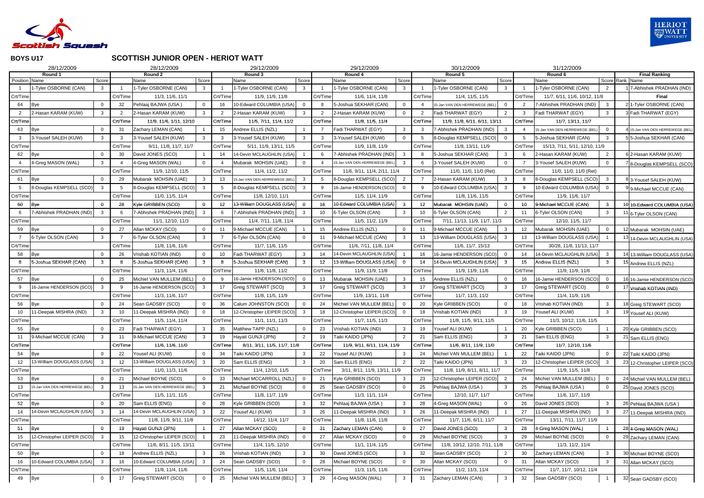

# **SCOTTISH JUNIOR OPEN - HERIOT WATT**

|                      | 28/12/2009                        |                |                     | 28/12/2009                                  |                       |                  | 29/12/2009                    |                       |                 | 29/12/2009                                   |                |                  | 30/12/2009                                 |                         |                 | 31/12/2009                     |                                   |                                                    |
|----------------------|-----------------------------------|----------------|---------------------|---------------------------------------------|-----------------------|------------------|-------------------------------|-----------------------|-----------------|----------------------------------------------|----------------|------------------|--------------------------------------------|-------------------------|-----------------|--------------------------------|-----------------------------------|----------------------------------------------------|
|                      | Round 1                           |                |                     | Round 2                                     |                       |                  | Round 3                       |                       |                 | Round 4                                      |                |                  | Round 5                                    |                         |                 | Round 6                        |                                   | <b>Final Ranking</b>                               |
| <b>Position Name</b> | 1-Tyler OSBORNE (CAN)             | Score<br>3     |                     | Name<br>1-Tyler OSBORNE (CAN)               | Score<br>$\mathbf{3}$ |                  | Name<br>1-Tyler OSBORNE (CAN) | Score<br>$\mathbf{3}$ |                 | Name<br>1-Tyler OSBORNE (CAN)                | Score<br>3     |                  | Name<br>1-Tyler OSBORNE (CAN)              | Score<br>3 <sup>3</sup> |                 | Name<br>1-Tyler OSBORNE (CAN)  | Score Rank Name<br>$\overline{2}$ | 7-Abhishek PRADHAN (IND)                           |
| Crt/Time             |                                   |                | Crt/Time            | 11/3, 11/6, 11/1                            |                       | Crt/Time         | 11/9, 11/9, 11/8              |                       | Crt/Time        | 11/6, 11/4, 11/8                             |                | Crt/Time         | 11/4, 11/5, 11/5                           |                         | Crt/Time        | 11/7, 6/11, 11/6, 10/12, 11/8  |                                   | <b>Final</b>                                       |
| 64                   |                                   |                | 32                  | Pehlaaj BAJWA (USA)                         | $\Omega$              | 16               | 10-Edward COLUMBIA (USA)      |                       |                 | 5-Joshua SEKHAR (CAN)                        | $\Omega$       |                  | 5-Jan VAN DEN HERREWEGE (BEL               | $\overline{0}$          | 2               | 7-Abhishek PRADHAN (IND)       | $\mathbf{3}$                      | 2 1-Tyler OSBORNE (CAN)                            |
| 2                    | <b>Bye</b><br>2-Hasan KARAM (KUW) | 3              |                     | 2-Hasan KARAM (KUW)                         | 3                     |                  | 2-Hasan KARAM (KUW)           | 3                     |                 | 2-Hasan KARAM (KUW)                          | $\overline{0}$ |                  | Fadi THARWAT (EGY)                         | $\overline{2}$          | 3               | Fadi THARWAT (EGY)             | 3                                 | Fadi THARWAT (EGY)                                 |
| Crt/Time             |                                   |                | Crt/Time            | 11/9, 11/6, 1/11, 12/10                     |                       | Crt/Time         | 11/5, 7/11, 11/4, 11/2        |                       | Crt/Time        | 11/8, 11/5, 11/4                             |                | Crt/Time         | 11/9, 11/8, 6/11, 6/11, 13/11              |                         | Crt/Time        | 11/7, 13/11, 11/7              |                                   |                                                    |
|                      |                                   |                |                     | Zachary LEMAN (CAN)                         |                       | 15               | Andrew ELLIS (NZL)            |                       |                 | Fadi THARWAT (EGY)                           | 3              |                  | 7-Abhishek PRADHAN (IND)                   | 3                       |                 | 15-Jan VAN DEN HERREWEGE (BEL  | $\mathbf 0$                       | 15-Jan VAN DEN HERREWEGE (BEI                      |
| 63<br>-3             | Bye<br>3-Yousef SALEH (KUW)       | 3              | 31<br>$\mathcal{R}$ | 3-Yousef SALEH (KUW)                        | 3                     | 3                | 3-Yousef SALEH (KUW)          | $\mathbf{3}$          | $\mathcal{R}$   | 3-Yousef SALEH (KUW)                         | $\overline{0}$ |                  | 8-Douglas KEMPSELL (SCO)                   | $\overline{0}$          | 5               | 5-Joshua SEKHAR (CAN)          | $\mathbf{3}$                      | 5 5-Joshua SEKHAR (CAN)                            |
| Crt/Time             |                                   |                | Crt/Time            |                                             |                       | Crt/Time         | 5/11, 11/9, 13/11, 11/5       |                       | Crt/Time        |                                              |                | Crt/Time         |                                            |                         | Crt/Time        | 15/13, 7/11, 5/11, 12/10, 11/9 |                                   |                                                    |
| 62                   |                                   |                | 30                  | 9/11, 11/8, 11/7, 11/7<br>David JONES (SCO) |                       | 14               | 14-Devin MCLAUGHLIN (USA)     |                       |                 | 11/9, 11/8, 11/9<br>7-Abhishek PRADHAN (IND) | 3              |                  | 11/8, 13/11, 11/9<br>5-Joshua SEKHAR (CAN) | $\mathbf{3}$            | 6               | 2-Hasan KARAM (KUW)            | $\overline{2}$                    | 6 2-Hasan KARAM (KUW)                              |
|                      | Bye<br>4-Greg MASON (WAL)         | 3              |                     | 4-Greg MASON (WAL)                          | $\Omega$              |                  | Mubarak MOHSIN (UAE)          | $\Omega$              |                 | 5-Jan VAN DEN HERREWEGE (BEL                 | $\mathbf{3}$   |                  | 3-Yousef SALEH (KUW)                       | $\overline{0}$          |                 | 3-Yousef SALEH (KUW)           | $\overline{0}$                    |                                                    |
| Crt/Time             |                                   |                | Crt/Time            | 11/9, 12/10, 11/5                           |                       | Crt/Time         | 11/4, 11/2, 11/2              |                       | Crt/Time        | 11/6, 9/11, 11/4, 2/11, 11/4                 |                | Crt/Time         | 11/0, 11/0, 11/0 (Ret)                     |                         | Crt/Time        | 11/0, 11/0, 11/0 (Ret)         |                                   | 8-Douglas KEMPSELL (SCO)                           |
| 61                   | Bye                               |                | 29                  | Mubarak MOHSIN (UAE)                        | 3                     | 13               | 15-Jan VAN DEN HERREWEGE (BEL | 3                     |                 | 8-Douglas KEMPSELL (SCO)                     | 2              |                  | 2-Hasan KARAM (KUW)                        | $\mathbf{3}$            |                 | 8-Douglas KEMPSELL (SCO)       | $\mathbf{3}$                      |                                                    |
| 5                    | 8-Douglas KEMPSELL (SCO)          | 3              |                     | 8-Douglas KEMPSELL (SCO)                    | 3                     |                  | 8-Douglas KEMPSELL (SCO)      | 3                     |                 | 16-Jamie HENDERSON (SCO)                     | $\Omega$       |                  | 10-Edward COLUMBIA (USA)                   | $\mathbf{3}$            | <b>g</b>        | 10-Edward COLUMBIA (USA)       | $\overline{0}$                    | 3-Yousef SALEH (KUW)                               |
| Crt/Time             |                                   |                | Crt/Time            | 11/0, 11/5, 11/4                            |                       | Crt/Time         | 11/8, 12/10, 11/1             |                       | Crt/Time        | 11/5, 11/4, 11/9                             |                | Crt/Time         | 11/8, 11/6, 11/5                           |                         | Crt/Time        | 11/9, 11/6, 11/7               |                                   | 9-Michael MCCUE (CAN)                              |
| 60                   | Bye                               |                | 28                  | Kyle GRIBBEN (SCO)                          | $\Omega$              | 12 <sup>12</sup> | 13-William DOUGLASS (USA)     |                       | 16              | 10-Edward COLUMBIA (USA)                     |                | 12 <sup>12</sup> | Mubarak MOHSIN (UAE)                       | $\mathbf{0}$            | 10              | 9-Michael MCCUE (CAN)          | 3                                 |                                                    |
| 6                    | -Abhishek PRADHAN (IND)           | $\mathbf{3}$   | - 6                 | 7-Abhishek PRADHAN (IND)                    | $\mathbf{3}$          | 6                | 7-Abhishek PRADHAN (IND)      | 3                     | 10 <sup>1</sup> | 6-Tyler OLSON (CAN)                          | 3              | 10               | 6-Tyler OLSON (CAN)                        | $\overline{2}$          | 11              | 6-Tyler OLSON (CAN)            | $\mathbf{3}$                      | 10-Edward COLUMBIA (USA)<br>11 6-Tyler OLSON (CAN) |
| Crt/Time             |                                   |                | Crt/Time            | 11/1, 12/10, 11/3                           |                       | Crt/Time         | 11/4, 7/11, 11/8, 11/4        |                       | Crt/Time        | 11/5, 11/2, 11/9                             |                | Crt/Time         | 7/11, 11/13, 11/9, 11/7, 11/3              |                         | Crt/Time        | 12/10, 11/5, 11/7              |                                   |                                                    |
| 59                   | Bye                               |                | 27                  | Allan MCKAY (SCO)                           | $\Omega$              | 11               | 9-Michael MCCUE (CAN)         |                       | 15              | Andrew ELLIS (NZL)                           | 0              | 11               | 9-Michael MCCUE (CAN)                      | 3                       | 12 <sup>°</sup> | Mubarak MOHSIN (UAE)           | 0                                 | 12 Mubarak MOHSIN (UAE)                            |
|                      | 6-Tyler OLSON (CAN)               | 3              |                     | 6-Tyler OLSON (CAN)                         | 3                     |                  | 6-Tyler OLSON (CAN)           |                       |                 | 9-Michael MCCUE (CAN)                        | 3              | 13               | 13-William DOUGLASS (USA)                  | $\mathbf{3}$            | 13              | 13-William DOUGLASS (USA)      |                                   |                                                    |
| Crt/Time             |                                   |                | Crt/Time            | 11/8, 11/6, 11/6                            |                       | Crt/Time         | 11/7, 11/6, 11/5              |                       | Crt/Time        | 11/6, 7/11, 11/8, 11/4                       |                | Crt/Time         | 11/6, 11/7, 15/13                          |                         | Crt/Time        | 30/28, 11/8, 11/13, 11/7       |                                   | 14-Devin MCLAUGHLIN (USA)                          |
| 58                   | Bye                               |                | 26                  | Vrishab KOTIAN (IND)                        | $\Omega$              | 10               | Fadi THARWAT (EGY)            | 3                     | 14              | 14-Devin MCLAUGHLIN (USA)                    |                | 16               | 16-Jamie HENDERSON (SCO)                   | $\overline{0}$          | 14              | 14-Devin MCLAUGHLIN (USA)      | 3                                 | 13-William DOUGLASS (USA)                          |
| 8                    | 5-Joshua SEKHAR (CAN)             | 3              |                     | 5-Joshua SEKHAR (CAN)                       | 3 <sup>1</sup>        | 8                | 5-Joshua SEKHAR (CAN)         | $3^{\circ}$           | 12              | 13-William DOUGLASS (USA)                    | $\Omega$       | 14               | 14-Devin MCLAUGHLIN (USA)                  | $\mathbf{3}$            | 15              | Andrew ELLIS (NZL)             | $\mathbf{3}$                      | 15 Andrew ELLIS (NZL)                              |
| Crt/Time             |                                   |                | Crt/Time            | 11/3, 11/4, 11/6                            |                       | Crt/Time         | 11/6, 11/8, 11/2              |                       | Crt/Time        | 11/9, 11/9, 11/8                             |                | Crt/Time         | 11/9, 11/9, 11/6                           |                         | Crt/Time        | 11/9, 11/9, 11/6               |                                   |                                                    |
| 57                   | Bye                               |                | 25                  | Michiel VAN MULLEM (BEL                     | $\Omega$              |                  | 16-Jamie HENDERSON (SCO)      |                       | 13              | Mubarak MOHSIN (UAE)                         |                | 15               | Andrew ELLIS (NZL)                         | $\overline{0}$          | 16              | 16-Jamie HENDERSON (SCO)       | $\overline{0}$                    | 16 16-Jamie HENDERSON (SCO)                        |
| 9                    | 16-Jamie HENDERSON (SCO)          | 3              |                     | 16-Jamie HENDERSON (SCO)                    | 3                     | 17               | Greig STEWART (SCO)           | 3                     |                 | Greig STEWART (SCO)                          | 3              | 17               | Greig STEWART (SCO)                        | 3 <sup>3</sup>          | 17              | Greig STEWART (SCO)            | $\Omega$                          | Vrishab KOTIAN (IND)                               |
| Crt/Time             |                                   |                | Crt/Time            | 11/3, 11/6, 11/7                            |                       | Crt/Time         | 11/8, 11/5, 11/9              |                       | Crt/Time        | 11/9, 13/11, 11/8                            |                | Crt/Time         | 11/7, 11/3, 11/2                           |                         | Crt/Time        | 11/4, 11/9, 11/6               |                                   |                                                    |
| 56                   | Bye                               |                | 24                  | Sean GADSBY (SCO)                           |                       | 36               | Calum JOHNSTON (SCO)          | $\Omega$              | 24              | Michiel VAN MULLEM (BEL)                     |                | 20               | Kyle GRIBBEN (SCO)                         | $\overline{0}$          | 18              | Vrishab KOTIAN (IND)           | 3                                 | 18 Greig STEWART (SCO)                             |
|                      | 11-Deepak MISHRA (IND)            |                | 10                  | 11-Deepak MISHRA (IND)                      | $\Omega$              | 18               | 12-Christopher LEIPER (SCO)   | 3                     | 18              | 12-Christopher LEIPER (SCO)                  | $\Omega$       | 18               | Vrishab KOTIAN (IND)                       | $\mathbf{3}$            | 19              | Yousef ALI (KUW)               | 3                                 | Yousef ALI (KUW)                                   |
| Crt/Time             |                                   |                | Crt/Time            | 11/5, 11/4, 11/4                            |                       | Crt/Time         | 11/1, 11/1, 11/3              |                       | Crt/Time        | 11/7, 11/5, 11/3                             |                | Crt/Time         | 11/8, 11/5, 9/11, 11/5                     |                         | Crt/Time        | 11/3, 10/12, 11/6, 11/5        |                                   |                                                    |
| 55                   | Bye                               |                | 23                  | Fadi THARWAT (EGY)                          | 3                     | 35               | Matthew TAPP (NZL)            |                       | 23              | Vrishab KOTIAN (IND)                         | 3              | 19               | Yousef ALI (KUW)                           |                         | 20              | Kyle GRIBBEN (SCO)             |                                   | 20 Kyle GRIBBEN (SCO)                              |
| 11                   | 9-Michael MCCUE (CAN)             | 3              | 11                  | 9-Michael MCCUE (CAN)                       | $\mathbf{3}$          | 19               | Hayati GUNJI (JPN)            | $\overline{2}$        | 19              | Taiki KAIDO (JPN)                            | $\overline{2}$ | 21               | Sam ELLIS (ENG)                            | $\mathbf{3}$            | 21              | Sam ELLIS (ENG)                | $\mathbf{3}$                      | 21 Sam ELLIS (ENG)                                 |
| Crt/Time             |                                   |                | Crt/Time            | 11/6, 11/6, 11/0                            |                       | Crt/Time         | 8/11, 3/11, 11/5, 11/7, 11/8  |                       | Crt/Time        | 11/9, 9/11, 6/11, 11/4, 11/9                 |                | Crt/Time         | 11/6, 8/11, 11/9, 11/0                     |                         | Crt/Time        | 11/7, 12/10, 11/6              |                                   |                                                    |
| 54                   | <b>Bye</b>                        |                | 22                  | Yousef ALI (KUW)                            | $\mathbf 0$           | 34               | Taiki KAIDO (JPN)             | -3                    | 22              | Yousef ALI (KUW)                             | 3              | 24               | Michiel VAN MULLEM (BEL)                   |                         | 22              | Taiki KAIDO (JPN)              | $\mathbf 0$                       | 22 Taiki KAIDO (JPN)                               |
| 12                   | 13-William DOUGLASS (USA)         | -3             | 12                  | 13-William DOUGLASS (USA)                   | 3                     | 20               | Sam ELLIS (ENG)               | 3                     | 20              | Sam ELLIS (ENG)                              | $\overline{2}$ | 22               | Taiki KAIDO (JPN)                          | $\mathbf{3}$            | 23              | 12-Christopher LEIPER (SCO)    | 3                                 | 23 12-Christopher LEIPER (SCO)                     |
| Crt/Time             |                                   |                | Crt/Time            | 11/0, 11/3, 11/6                            |                       | Crt/Time         | 11/4, 12/10, 11/5             |                       | Crt/Time        | 3/11, 8/11, 11/9, 13/11, 11/9                |                | Crt/Time         | 11/8, 11/9, 8/11, 8/11, 11/7               |                         | Crt/Time        | 11/9, 11/5, 11/8               |                                   |                                                    |
| 53                   | Bye                               |                | 21                  | Michael BOYNE (SCO)                         | $\mathbf 0$           | 33               | Michael MCCARROLL (NZL)       | $\Omega$              | 21              | Kyle GRIBBEN (SCO)                           | 3              | 23               | 12-Christopher LEIPER (SCO)                | $\overline{2}$          | 24              | Michiel VAN MULLEM (BEL)       | $\overline{0}$                    | 24 Michiel VAN MULLEM (BEL)                        |
| 13                   | 15-Jan VAN DEN HERREWEGE (BEL)    | -3             | 13                  | 5-Jan VAN DEN HERREWEGE (BEL                | $\mathbf{3}$          | 21               | Michael BOYNE (SCO)           | $\Omega$              | 25              | Sean GADSBY (SCO)                            | $\Omega$       | 25               | Pehlaaj BAJWA (USA)                        | $\mathbf{3}$            | 25              | Pehlaaj BAJWA (USA)            | $\mathbf 0$                       | 25 David JONES (SCO)                               |
| Crt/Time             |                                   |                | Crt/Time            | 11/5, 11/1, 11/5                            |                       | Crt/Time         | 11/8, 11/7, 11/9              |                       | Crt/Time        | 11/3, 11/1, 11/4                             |                | Crt/Time         | 12/10, 11/7, 11/7                          |                         | Crt/Time        | 11/6, 11/7, 11/9               |                                   |                                                    |
| 52                   | Bye                               | 0              | 20                  | Sam ELLIS (ENG)                             | 0                     | 28               | Kyle GRIBBEN (SCO)            | 3                     | 32              | Pehlaaj BAJWA (USA)                          | 3              | 28               | 4-Greg MASON (WAL)                         | $\overline{0}$          | 26              | David JONES (SCO)              | 3                                 | 26 Pehlaaj BAJWA (USA)                             |
| 14                   | 14-Devin MCLAUGHLIN (USA)         | 3              | 14                  | 14-Devin MCLAUGHLIN (USA)                   | 3                     | 22               | Yousef ALI (KUW)              | 3                     | 26              | 11-Deepak MISHRA (IND)                       | $\mathbf{3}$   | 26               | 11-Deepak MISHRA (IND)                     |                         | 27              | 11-Deepak MISHRA (IND)         | $\mathbf{3}$                      | 27 11-Deepak MISHRA (IND)                          |
| Crt/Time             |                                   |                | Crt/Time            | 11/8, 11/9, 9/11, 11/8                      |                       | Crt/Time         | 14/12, 11/4, 11/7             |                       | Crt/Time        | 11/8, 11/6, 11/8                             |                | Crt/Time         | 11/7, 11/6, 6/11, 11/7                     |                         | Crt/Time        | 13/11, 7/11, 11/7, 11/9        |                                   |                                                    |
| 51                   | <b>Bye</b>                        | 0              | 19                  | Hayati GUNJI (JPN)                          |                       | 27               | Allan MCKAY (SCO)             | 0                     | 31              | Zachary LEMAN (CAN)                          | 0              | 27               | David JONES (SCO)                          | $\mathbf{3}$            | 28              | 4-Greg MASON (WAL)             |                                   | 28 4-Greg MASON (WAL)                              |
| 15                   | 12-Christopher LEIPER (SCO)       | -3             | 15                  | 12-Christopher LEIPER (SCO)                 |                       | 23               | 11-Deepak MISHRA (IND)        | $\Omega$              | 27              | Allan MCKAY (SCO)                            | $\Omega$       | 29               | Michael BOYNE (SCO)                        | $\mathbf{3}$            | 29              | Michael BOYNE (SCO)            | $\mathbf 0$                       | 29 Zachary LEMAN (CAN)                             |
| Crt/Time             |                                   |                | Crt/Time            | 11/6, 8/11, 11/5, 13/11                     |                       | Crt/Time         | 11/4, 11/5, 12/10             |                       | Crt/Time        | 11/1, 11/4, 11/5                             |                | Crt/Time         | 11/8, 10/12, 12/10, 7/11, 11/8             |                         | Crt/Time        | 11/3, 11/2, 11/4               |                                   |                                                    |
| 50                   | <b>Bye</b>                        | $\mathbf 0$    | 18                  | Andrew ELLIS (NZL)                          | 3                     | 26               | Vrishab KOTIAN (IND)          | 3                     | 30              | David JONES (SCO)                            | 3              | 32               | Sean GADSBY (SCO)                          | $\overline{2}$          | 30              | Zachary LEMAN (CAN)            | $\mathbf{3}$                      | 30 Michael BOYNE (SCO)                             |
| 16                   | 10-Edward COLUMBIA (USA)          | 3              | 16                  | 10-Edward COLUMBIA (USA)                    | 3                     | 24               | Sean GADSBY (SCO)             | $\Omega$              | 28              | Michael BOYNE (SCO)                          | $\Omega$       | 30               | Allan MCKAY (SCO)                          | $\overline{0}$          | 31              | Allan MCKAY (SCO)              | $\mathbf{3}$                      | 31 Allan MCKAY (SCO)                               |
| Crt/Time             |                                   |                | Crt/Time            | 11/8, 11/4, 11/6                            |                       | Crt/Time         | 11/5, 11/6, 11/4              |                       | Crt/Time        | 11/3, 11/5, 11/6                             |                | Crt/Time         | 11/2, 11/3, 11/4                           |                         | Crt/Time        | 11/7, 11/7, 10/12, 11/4        |                                   |                                                    |
| 49                   | <b>Bye</b>                        | $\overline{0}$ | 17                  | Greig STEWART (SCO)                         | $\mathbf 0$           | 25               | Michiel VAN MULLEM (BEL)      | $\mathbf{3}$          | 29              | 4-Greg MASON (WAL)                           | $\mathbf{3}$   | 31               | Zachary LEMAN (CAN)                        | $\mathbf{3}$            | 32              | Sean GADSBY (SCO)              |                                   | 32 Sean GADSBY (SCO)                               |
|                      |                                   |                |                     |                                             |                       |                  |                               |                       |                 |                                              |                |                  |                                            |                         |                 |                                |                                   |                                                    |

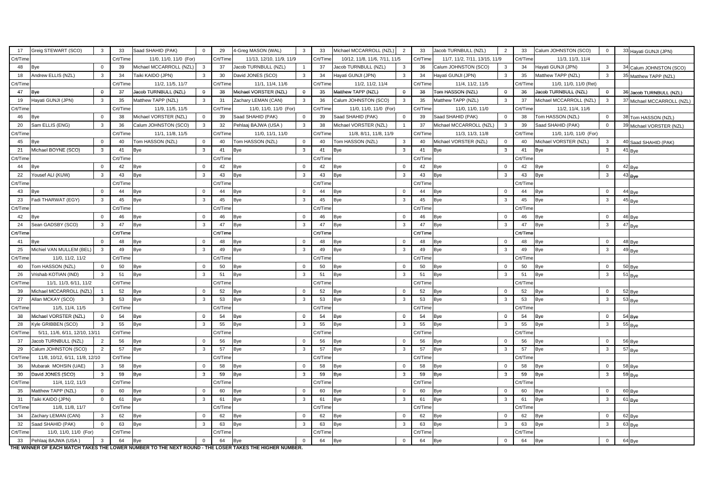| 17              | Greig STEWART (SCO)                     | 3 <sup>1</sup> | 33       | Saad SHAHID (PAK)       | $\Omega$                | 29       | 4-Greg MASON (WAL)       | $\mathbf{3}$   | 33       | Michael MCCARROLL (NZL)       | $\overline{2}$ | 33       | Jacob TURNBULL (NZL)          | $\overline{2}$ | 33       | Calum JOHNSTON (SCO)    | $\overline{0}$ | 33 Hayati GUNJI (JPN)      |
|-----------------|-----------------------------------------|----------------|----------|-------------------------|-------------------------|----------|--------------------------|----------------|----------|-------------------------------|----------------|----------|-------------------------------|----------------|----------|-------------------------|----------------|----------------------------|
| Crt/Time        |                                         |                | Crt/Time | 11/0, 11/0, 11/0 (For)  |                         | Crt/Time | 11/13, 12/10, 11/9, 11/9 |                | Crt/Time | 10/12, 11/8, 11/6, 7/11, 11/5 |                | Crt/Time | 11/7, 11/2, 7/11, 13/15, 11/9 |                | Crt/Time | 11/3, 11/3, 11/4        |                |                            |
| 48              | <b>Bye</b>                              | $\mathbf 0$    | 39       | Michael MCCARROLL (NZL) | $\overline{\mathbf{3}}$ | 37       | Jacob TURNBULL (NZL)     |                | 37       | Jacob TURNBULL (NZL)          | 3              | 36       | Calum JOHNSTON (SCO)          | $\mathbf{3}$   | 34       | Hayati GUNJI (JPN)      | $\mathbf{3}$   | 34 Calum JOHNSTON (SCO)    |
| 18              | Andrew ELLIS (NZL)                      | $\mathbf{3}$   | 34       | Taiki KAIDO (JPN)       | $\mathbf{3}$            | 30       | David JONES (SCO)        | 3 <sup>1</sup> | 34       | Hayati GUNJI (JPN)            | $\mathbf{3}$   | 34       | Hayati GUNJI (JPN)            | 3 <sup>1</sup> | 35       | Matthew TAPP (NZL)      | $\mathbf{3}$   | 35 Matthew TAPP (NZL)      |
| Crt/Time        |                                         |                | Crt/Time | 11/2, 11/5, 11/7        |                         | Crt/Time | 11/1, 11/4, 11/6         |                | Crt/Time | 11/2, 11/2, 11/4              |                | Crt/Time | 11/4, 11/2, 11/5              |                | Crt/Time | 11/0, 11/0, 11/0 (Ret)  |                |                            |
| 47              | Bye                                     | $\mathbf 0$    | 37       | Jacob TURNBULL (NZL)    | $\mathbf{0}$            | 38       | Michael VORSTER (NZL)    | $\bf{0}$       | 35       | Matthew TAPP (NZL)            | $\mathbf{0}$   | 38       | Tom HASSON (NZL)              | $\mathbf{0}$   | 36       | Jacob TURNBULL (NZL)    | $\mathbf{0}$   | 36 Jacob TURNBULL (NZL)    |
| 19              | Hayati GUNJI (JPN)                      | $\mathbf{3}$   | 35       | Matthew TAPP (NZL)      | $\mathbf{3}$            | 31       | Zachary LEMAN (CAN)      | $\mathbf{3}$   | 36       | Calum JOHNSTON (SCO)          | $\mathbf{3}$   | 35       | Matthew TAPP (NZL)            | $\mathbf{3}$   | 37       | Michael MCCARROLL (NZL) | $\mathbf{3}$   | 37 Michael MCCARROLL (NZL) |
| Crt/Time        |                                         |                | Crt/Time | 11/9, 11/5, 11/5        |                         | Crt/Time | 11/0, 11/0, 11/0 (For)   |                | Crt/Time | 11/0, 11/0, 11/0 (For)        |                | Crt/Time | 11/0, 11/0, 11/0              |                | Crt/Time | 11/2, 11/4, 11/6        |                |                            |
| 46              | Bye                                     | $\mathbf 0$    | 38       | Michael VORSTER (NZL)   | $\overline{0}$          | 39       | Saad SHAHID (PAK)        | $\overline{0}$ | 39       | Saad SHAHID (PAK)             | $\overline{0}$ | 39       | Saad SHAHID (PAK)             | $\overline{0}$ | 38       | Tom HASSON (NZL)        | $\overline{0}$ | 38 Tom HASSON (NZL)        |
| 20              | Sam ELLIS (ENG)                         | $\mathbf{3}$   | 36       | Calum JOHNSTON (SCO)    | $\mathbf{3}$            | 32       | Pehlaaj BAJWA (USA)      | $\mathbf{3}$   | 38       | Michael VORSTER (NZL)         |                | 37       | Michael MCCARROLL (NZL)       | $\mathbf{3}$   | 39       | Saad SHAHID (PAK)       | $\mathbf 0$    | 39 Michael VORSTER (NZL)   |
| Crt/Time        |                                         |                | Crt/Time | 11/1, 11/8, 11/5        |                         | Crt/Time | 11/0, 11/1, 11/0         |                | Crt/Time | 11/8, 8/11, 11/8, 11/9        |                | Crt/Time | 11/3, 11/3, 11/8              |                | Crt/Time | 11/0, 11/0, 11/0 (For)  |                |                            |
| 45              | <b>Bye</b>                              | $\mathbf 0$    | 40       | Tom HASSON (NZL)        | $\overline{0}$          | 40       | Tom HASSON (NZL)         | $\overline{0}$ | 40       | Tom HASSON (NZL)              | 3              | 40       | Michael VORSTER (NZL)         | $\overline{0}$ | 40       | Michael VORSTER (NZL)   | $\mathbf{3}$   | 40 Saad SHAHID (PAK)       |
| 21              | Michael BOYNE (SCO)                     | $\mathbf{3}$   | 41       | <b>Bye</b>              | $\mathbf{3}$            | 41       | <b>Bye</b>               | 3              | 41       | <b>Bye</b>                    | 3              | 41       | <b>Bye</b>                    | $\mathbf{3}$   | 41       | <b>Bye</b>              | $\mathbf{3}$   | 41 Bye                     |
| Crt/Time        |                                         |                | Crt/Time |                         |                         | Crt/Time |                          |                | Crt/Time |                               |                | Crt/Time |                               |                | Crt/Time |                         |                |                            |
| 44              | <b>Bye</b>                              | $\Omega$       | 42       | <b>Bye</b>              | $\overline{0}$          | 42       | <b>Bye</b>               | $\overline{0}$ | 42       | <b>Bye</b>                    | $\overline{0}$ | 42       | Bye                           | $\overline{0}$ | 42       | <b>Bye</b>              | $\overline{0}$ | 42 Bye                     |
| 22              | Yousef ALI (KUW)                        | $\mathbf{3}$   | 43       | Bye                     | $\mathbf{3}$            | 43       | <b>Bye</b>               | $\mathbf{3}$   | 43       | <b>Bye</b>                    | $\mathbf{3}$   | 43       | Bye                           | $\mathbf{3}$   | 43       | <b>Bye</b>              | 3              | $43$ Bye                   |
| Crt/Time        |                                         |                | Crt/Time |                         |                         | Crt/Time |                          |                | Crt/Time |                               |                | Crt/Time |                               |                | Crt/Time |                         |                |                            |
| 43              | Bye                                     | $\Omega$       | 44       | <b>Bye</b>              | $\overline{0}$          | 44       | <b>Bye</b>               | $\overline{0}$ | 44       | <b>Bye</b>                    | $\Omega$       | 44       | <b>Bye</b>                    | $\overline{0}$ | 44       | <b>Bye</b>              | $\mathbf 0$    | 44 Bye                     |
| 23              | Fadi THARWAT (EGY)                      | $\mathbf{3}$   | 45       | <b>Bye</b>              | $\mathbf{3}$            | 45       | Bye                      | $\mathbf{3}$   | 45       | <b>Bye</b>                    | -3             | 45       | Bye                           | $\mathbf{3}$   | 45       | <b>Bye</b>              | 3              | 45 Bye                     |
| Crt/Time        |                                         |                | Crt/Time |                         |                         | Crt/Time |                          |                | Crt/Time |                               |                | Crt/Time |                               |                | Crt/Time |                         |                |                            |
| 42              | <b>Bye</b>                              | $\overline{0}$ | 46       | <b>Bye</b>              | $\overline{0}$          | 46       | Bye                      | $\overline{0}$ | 46       | <b>Bye</b>                    | $\mathbf{0}$   | 46       | Bye                           | $\overline{0}$ | 46       | <b>Bye</b>              | $\mathbf 0$    | 46 Bye                     |
| 24              | Sean GADSBY (SCO)                       | $\mathbf{3}$   | 47       | <b>Bye</b>              | $\mathbf{3}$            | 47       | Bye                      | 3              | 47       | Bye                           | 3              | 47       | Bye                           | $\mathbf{3}$   | 47       | <b>Bye</b>              | 3              | 47 Bye                     |
| Crt/Time        |                                         |                | Crt/Time |                         |                         | Crt/Time |                          |                | Crt/Time |                               |                | Crt/Time |                               |                | Crt/Time |                         |                |                            |
| 41              | <b>Bye</b>                              | $\overline{0}$ | 48       | <b>Bye</b>              | $\overline{0}$          | 48       | <b>Bye</b>               | $\overline{0}$ | 48       | <b>Bye</b>                    | $\overline{0}$ | 48       | <b>Bye</b>                    | $\overline{0}$ | 48       | <b>Bye</b>              | $\overline{0}$ | 48 Bye                     |
| 25              | Michiel VAN MULLEM (BEL)                | $\mathbf{3}$   | 49       | <b>Bye</b>              | $\mathbf{3}$            | 49       | Bye                      | 3              | 49       | <b>Bye</b>                    | 3              | 49       | Bye                           | $\mathbf{3}$   | 49       | <b>Bye</b>              | $\mathbf{3}$   | 49 Bye                     |
| Crt/Time        | 11/0, 11/2, 11/2                        |                | Crt/Time |                         |                         | Crt/Time |                          |                | Crt/Time |                               |                | Crt/Time |                               |                | Crt/Time |                         |                |                            |
| 40              | Tom HASSON (NZL)                        | $\mathbf 0$    | 50       | <b>Bye</b>              | $\overline{0}$          | 50       | <b>Bye</b>               | $\overline{0}$ | 50       | <b>Bye</b>                    | $\Omega$       | 50       | <b>Bye</b>                    | $\overline{0}$ | 50       | <b>Bye</b>              | $\overline{0}$ | 50 Bye                     |
| 26              | Vrishab KOTIAN (IND)                    | $\mathbf{3}$   | 51       | <b>Bye</b>              | $\mathbf{3}$            | 51       | <b>Bye</b>               | 3              | 51       | <b>Bye</b>                    | 3              | 51       | Bye                           | $\mathbf{3}$   | 51       | <b>Bye</b>              | 3              | $51$ <sub>Bye</sub>        |
| Crt/Time        | 11/1, 11/3, 6/11, 11/2                  |                | Crt/Time |                         |                         | Crt/Time |                          |                | Crt/Time |                               |                | Crt/Time |                               |                | Crt/Time |                         |                |                            |
| 39              | Michael MCCARROLL (NZL)                 |                | 52       | <b>Bye</b>              | $\Omega$                | 52       | <b>Bye</b>               | $\overline{0}$ | 52       | <b>Bye</b>                    | $\Omega$       | 52       | <b>Bye</b>                    | $\overline{0}$ | 52       | <b>Bye</b>              | $\mathbf 0$    | 52 Bye                     |
| 27              | Allan MCKAY (SCO)                       | 3              | 53       | <b>Bye</b>              | 3                       | 53       | Bye                      | 3              | 53       | <b>Bye</b>                    | 3              | 53       | Bye                           | $\mathbf{3}$   | 53       | <b>Bye</b>              | $\mathbf{3}$   | 53 Bye                     |
| Crt/Time        | 11/5, 11/4, 11/5                        |                | Crt/Time |                         |                         | Crt/Time |                          |                | Crt/Time |                               |                | Crt/Time |                               |                | Crt/Time |                         |                |                            |
| 38              | Michael VORSTER (NZL)                   | $\mathbf 0$    | 54       | <b>Bye</b>              | $\mathbf 0$             | 54       | Bye                      | $\overline{0}$ | 54       | Bye                           | $\mathbf 0$    | 54       | Bye                           | $\overline{0}$ | 54       | <b>Bye</b>              | $\mathbf 0$    | 54 Bye                     |
| 28              | Kyle GRIBBEN (SCO)                      | $\mathbf{3}$   | 55       | <b>Bye</b>              | $\mathbf{3}$            | 55       | <b>Bye</b>               | $\mathbf{3}$   | 55       | <b>Bye</b>                    | $\mathbf{3}$   | 55       | Bye                           | $\mathbf{3}$   | 55       | <b>Bye</b>              | $\mathbf{3}$   | 55 Bye                     |
| Crt/Time        | 5/11, 11/6, 6/11, 12/10, 13/11          |                | Crt/Time |                         |                         | Crt/Time |                          |                | Crt/Time |                               |                | Crt/Time |                               |                | Crt/Time |                         |                |                            |
| 37              | Jacob TURNBULL (NZL)                    | $\overline{2}$ | 56       | <b>Bye</b>              | $\mathbf 0$             | 56       | <b>Bye</b>               | $\overline{0}$ | 56       | <b>Bye</b>                    | $\overline{0}$ | 56       | <b>Bye</b>                    | $\overline{0}$ | 56       | <b>Bye</b>              | $\mathbf 0$    | 56 Bye                     |
| 29              | Calum JOHNSTON (SCO)                    | $\overline{2}$ | 57       | <b>Bye</b>              | $\mathbf{3}$            | 57       | <b>Bye</b>               | $\mathbf{3}$   | 57       | <b>Bye</b>                    | $\mathbf{3}$   | 57       | <b>Bye</b>                    | 3 <sup>3</sup> | 57       | <b>Bye</b>              | $\mathbf{3}$   | $57$ Bye                   |
|                 | Crt/Time 11/8, 10/12, 6/11, 11/8, 12/10 |                | Crt/Time |                         |                         | Crt/Time |                          |                | Crt/Time |                               |                | Crt/Time |                               |                | Crt/Time |                         |                |                            |
| 36              | Mubarak MOHSIN (UAE)                    | $\mathbf{3}$   | 58       | <b>Bye</b>              | $\mathbf 0$             | 58       | <b>Bye</b>               | $\overline{0}$ | 58       | <b>Bye</b>                    | $\Omega$       | 58       | Bye                           | $\overline{0}$ | 58       | <b>Bye</b>              | $\mathbf 0$    | 58 Bye                     |
| 30 <sub>o</sub> | David JONES (SCO)                       | 3 <sup>1</sup> | 59       | <b>Bye</b>              | $\mathbf{3}$            | 59       | <b>Bye</b>               | 3 <sup>1</sup> | 59       | Bye                           | $\mathbf{3}$   | 59       | <b>Bye</b>                    | $\mathbf{3}$   | 59       | <b>Bye</b>              | $\mathbf{3}$   | $59$ <sub>Bye</sub>        |
| Crt/Time        | 11/4, 11/2, 11/3                        |                | Crt/Time |                         |                         | Crt/Time |                          |                | Crt/Time |                               |                | Crt/Time |                               |                | Crt/Time |                         |                |                            |
| 35              | Matthew TAPP (NZL)                      | $\overline{0}$ | 60       | <b>Bye</b>              | $\overline{0}$          | 60       | <b>Bye</b>               | $\overline{0}$ | 60       | <b>Bye</b>                    | $\overline{0}$ | 60       | <b>Bye</b>                    | $\overline{0}$ | 60       | <b>Bye</b>              | $\overline{0}$ | 60 <sub>Bye</sub>          |
| 31              | Taiki KAIDO (JPN)                       | $\mathbf 0$    | 61       | <b>Bye</b>              | $\mathbf{3}$            | 61       | <b>Bye</b>               | $\mathbf{3}$   | 61       | <b>Bye</b>                    | $\mathbf{3}$   | 61       | <b>Bye</b>                    | $3^{\circ}$    | 61       | <b>Bye</b>              | $\mathbf{3}$   | $61$ Bye                   |
| Crt/Time        | 11/8, 11/8, 11/7                        |                | Crt/Time |                         |                         | Crt/Time |                          |                | Crt/Time |                               |                | Crt/Time |                               |                | Crt/Time |                         |                |                            |
| 34              | Zachary LEMAN (CAN)                     | $\mathbf{3}$   | 62 Bye   |                         | $\mathbf 0$             | 62       | <b>Bye</b>               | $\overline{0}$ | 62       | <b>Bye</b>                    | $\overline{0}$ | 62       | <b>Bye</b>                    | $\overline{0}$ | 62 Bye   |                         | $\mathbf 0$    | 62 Bye                     |
| 32              | Saad SHAHID (PAK)                       | $\Omega$       | 63       | <b>Bye</b>              | $\mathbf{3}$            | 63       | <b>Bye</b>               | $\mathbf{3}$   | 63       | <b>Bye</b>                    | $\mathbf{3}$   | 63       | Bye                           | 3 <sup>1</sup> | 63       | <b>Bye</b>              | 3              | $63$ Bye                   |
| Crt/Time        | 11/0, 11/0, 11/0 (For)                  |                | Crt/Time |                         |                         | Crt/Time |                          |                | Crt/Time |                               |                | Crt/Time |                               |                | Crt/Time |                         |                |                            |
| 33              | Pehlaaj BAJWA (USA)                     | 3 <sup>1</sup> | 64       | <b>Bye</b>              | $\mathbf 0$             | 64       | <b>Bye</b>               | $\overline{0}$ | 64       | <b>Bye</b>                    | $\overline{0}$ | 64       | Bye                           | $\overline{0}$ | 64       | <b>Bye</b>              | $\mathbf 0$    | 64 Bye                     |

**THE WINNER OF EACH MATCH TAKES THE LOWER NUMBER TO THE NEXT ROUND - THE LOSER TAKES THE HIGHER NUMBER.**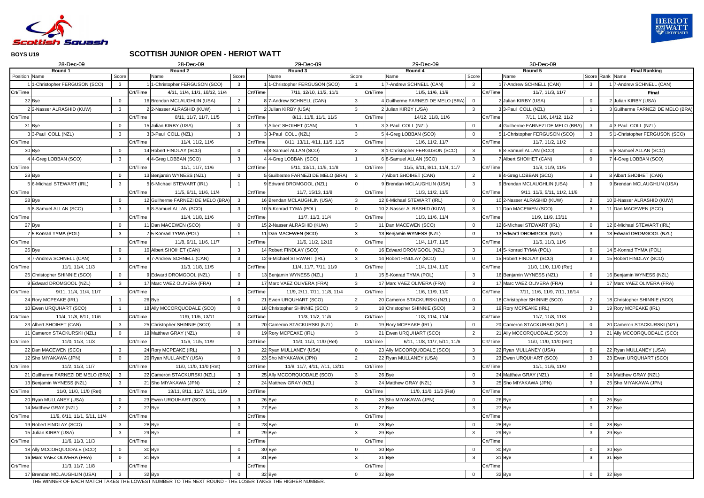

### **SCOTTISH JUNIOR OPEN - HERIOT WATT**

| 28-Dec-09                                |                         |          | 28-Dec-09                                                                                                       |                         |          | 29-Dec-09                         |                |          | 29-Dec-09                         |                | 30-Dec-09                                 |                |                                   |
|------------------------------------------|-------------------------|----------|-----------------------------------------------------------------------------------------------------------------|-------------------------|----------|-----------------------------------|----------------|----------|-----------------------------------|----------------|-------------------------------------------|----------------|-----------------------------------|
| Round 1<br>Position Name                 | Score                   |          | Round 2<br>Name                                                                                                 | Score                   |          | Round 3<br>Name                   | Score          |          | Round 4<br>Name                   | Score          | Round 5<br>Name                           | Score          | <b>Final Ranking</b><br>Rank Name |
| 1-Christopher FERGUSON (SCO)             | $\mathbf{3}$            |          | 1-Christopher FERGUSON (SCO)                                                                                    | $\overline{\mathbf{3}}$ |          | 1-Christopher FERGUSON (SCO)      |                |          | 17-Andrew SCHNELL (CAN)           | $\mathbf{3}$   | 7-Andrew SCHNELL (CAN)                    | $\mathbf{3}$   | 1 7-Andrew SCHNELL (CAN)          |
| Crt/Time                                 |                         | Crt/Time | 4/11, 11/4, 11/1, 10/12, 11/4                                                                                   |                         | Crt/Time | 7/11, 12/10, 11/2, 11/1           |                | Crt/Time | 11/5, 11/6, 11/9                  |                | Crt/Time<br>11/7, 11/3, 11/7              |                | <b>Final</b>                      |
| 32 Bye                                   | $\overline{0}$          |          | 16 Brendan MCLAUGHLIN (USA)                                                                                     | $\overline{2}$          |          | 8 7-Andrew SCHNELL (CAN)          | 3              |          | 4 Guilherme FARNEZI DE MELO (BRA) | $\overline{0}$ | 2 Julian KIRBY (USA)                      | $\mathbf 0$    | 2 Julian KIRBY (USA)              |
| 2-Nasser ALRASHID (KUW)                  | $\mathbf{3}$            |          | 2 2-Nasser ALRASHID (KUW)                                                                                       |                         |          | 2 Julian KIRBY (USA)              | 3              |          | 2 Julian KIRBY (USA)              | $\mathbf{3}$   | 33-Paul COLL (NZL)                        |                | 3 Guilherme FARNEZI DE MELO (BRA) |
| Crt/Time                                 |                         | Crt/Time | 8/11, 11/7, 11/7, 11/5                                                                                          |                         | Crt/Time | 8/11, 11/8, 11/1, 11/5            |                | Crt/Time | 14/12, 11/8, 11/6                 |                | 7/11, 11/6, 14/12, 11/2<br>Crt/Time       |                |                                   |
| 31 Bye                                   | $\overline{0}$          |          | 15 Julian KIRBY (USA)                                                                                           | $\mathbf{3}$            |          | 7 Albert SHOIHET (CAN)            |                |          | 33-Paul COLL (NZL)                | $\overline{0}$ | 4 Guilherme FARNEZI DE MELO (BRA          | $\mathbf{3}$   | 4 3-Paul COLL (NZL)               |
| 33-Paul COLL (NZL)                       | -3                      |          | 33-Paul COLL (NZL)                                                                                              | -3                      |          | 33-Paul COLL (NZL)                |                |          | 5 4-Greg LOBBAN (SCO)             | $\overline{0}$ | 51-Christopher FERGUSON (SCO)             | $\mathbf{3}$   | 5 1-Christopher FERGUSON (SCO)    |
| Crt/Time                                 |                         | Crt/Time | 11/4, 11/2, 11/6                                                                                                |                         | Crt/Time | 8/11, 13/11, 4/11, 11/5, 11/5     |                | Crt/Time | 11/6, 11/2, 11/7                  |                | Crt/Time<br>11/7, 11/2, 11/2              |                |                                   |
| 30 Bye                                   | $\overline{0}$          |          | 14 Robert FINDLAY (SCO)                                                                                         | $\Omega$                |          | 6 8-Samuel ALLAN (SCO)            | $\overline{2}$ |          | 8 1-Christopher FERGUSON (SCO)    | $\mathbf{3}$   | 6 8-Samuel ALLAN (SCO)                    | $\mathbf 0$    | 6 8-Samuel ALLAN (SCO)            |
| 4-Greg LOBBAN (SCO)                      | $\overline{\mathbf{3}}$ |          | 4-Greg LOBBAN (SCO)                                                                                             | $\mathbf{3}$            |          | 4-Greg LOBBAN (SCO)               |                |          | 6 8-Samuel ALLAN (SCO)            | $\mathbf{3}$   | 7 Albert SHOIHET (CAN)                    | $\mathbf 0$    | 7 4-Greg LOBBAN (SCO)             |
| Crt/Time                                 |                         | Crt/Time | 11/1, 11/7, 11/6                                                                                                |                         | Crt/Time | 5/11, 13/11, 11/9, 11/8           |                | Crt/Time | 11/5, 6/11, 8/11, 11/4, 11/7      |                | 11/8, 11/9, 11/5<br>Crt/Time              |                |                                   |
| 29 Bye                                   | $\overline{0}$          |          | 13 Benjamin WYNESS (NZL)                                                                                        | $\Omega$                |          | 5 Guilherme FARNEZI DE MELO (BRA) | -3             |          | 7 Albert SHOIHET (CAN)            | 2              | 84-Greg LOBBAN (SCO)                      | $\mathbf{3}$   | 8 Albert SHOIHET (CAN)            |
| 6-Michael STEWART (IRL)                  | $\mathbf{3}$            |          | 5 6-Michael STEWART (IRL)                                                                                       |                         |          | 9 Edward DROMGOOL (NZL)           |                |          | 9 Brendan MCLAUGHLIN (USA)        | 3              | 9 Brendan MCLAUGHLIN (USA)                | 3              | 9 Brendan MCLAUGHLIN (USA)        |
| Crt/Time                                 |                         | Crt/Time | 11/5, 9/11, 11/6, 11/4                                                                                          |                         | Crt/Time | 11/7, 15/13, 11/8                 |                | Crt/Time | 11/3, 11/2, 11/5                  |                | Crt/Time<br>9/11, 11/6, 5/11, 11/2, 11/8  |                |                                   |
| 28 Bye                                   | $\overline{0}$          |          | 12 Guilherme FARNEZI DE MELO (BRA)                                                                              | $\mathbf{3}$            |          | 16 Brendan MCLAUGHLIN (USA)       | 3              |          | 12 6-Michael STEWART (IRL)        | $\overline{0}$ | 10 2-Nasser ALRASHID (KUW)                | $\overline{2}$ | 10 2-Nasser ALRASHID (KUW)        |
| 8-Samuel ALLAN (SCO)                     | 3                       |          | 6 8-Samuel ALLAN (SCO)                                                                                          | $\mathbf{3}$            |          | 10 5-Konrad TYMA (POL)            | $\Omega$       |          | 10 2-Nasser ALRASHID (KUW)        | $\mathbf{3}$   | 11 Dan MACEWEN (SCO)                      | $\mathbf{3}$   | 11 Dan MACEWEN (SCO)              |
| Crt/Time                                 |                         | Crt/Time | 11/4, 11/8, 11/6                                                                                                |                         | Crt/Time | 11/7, 11/3, 11/4                  |                | Crt/Time | 11/3, 11/6, 11/4                  |                | Crt/Time<br>11/9, 11/9, 13/11             |                |                                   |
| 27 Bye                                   | $\overline{0}$          |          | 11 Dan MACEWEN (SCO)                                                                                            |                         |          | 15 2-Nasser ALRASHID (KUW)        | 3              |          | 11 Dan MACEWEN (SCO)              | $\overline{0}$ | 12 6-Michael STEWART (IRL)                | $\mathbf{0}$   | 12 6-Michael STEWART (IRL)        |
| 5-Konrad TYMA (POL)                      | $\mathbf{3}$            |          | 5-Konrad TYMA (POL)                                                                                             |                         |          | 11 Dan MACEWEN (SCO)              | $\mathbf{3}$   |          | 13 Benjamin WYNESS (NZL)          | $\overline{0}$ | 13 Edward DROMGOOL (NZL)                  | $\mathbf{3}$   | 13 Edward DROMGOOL (NZL)          |
| Crt/Time                                 |                         | Crt/Time | 11/8, 9/11, 11/6, 11/7                                                                                          |                         | Crt/Time | 11/6, 11/2, 12/10                 |                | Crt/Time | 11/4, 11/7, 11/5                  |                | Crt/Time<br>11/6, 11/3, 11/6              |                |                                   |
| 26 Bye                                   | $\overline{0}$          |          | 10 Albert SHOIHET (CAN)                                                                                         | $\mathbf{3}$            |          | 14 Robert FINDLAY (SCO)           | $\Omega$       |          | 16 Edward DROMGOOL (NZL)          | $\mathbf{3}$   | 14 5-Konrad TYMA (POL)                    | $\overline{0}$ | 14 5-Konrad TYMA (POL)            |
| 8 7-Andrew SCHNELL (CAN)                 | $\mathbf{3}$            |          | 8 7-Andrew SCHNELL (CAN)                                                                                        | $\mathbf{3}$            |          | 12 6-Michael STEWART (IRL)        | 3              |          | 14 Robert FINDLAY (SCO)           | $\overline{0}$ | 15 Robert FINDLAY (SCO)                   | $\mathbf{3}$   | 15 Robert FINDLAY (SCO)           |
| Crt/Time<br>11/1, 11/4, 11/3             |                         | Crt/Time | 11/3, 11/8, 11/5                                                                                                |                         | Crt/Time | 11/4, 11/7, 7/11, 11/9            |                | Crt/Time | 11/4, 11/4, 11/0                  |                | Crt/Time<br>11/0, 11/0, 11/0 (Ret)        |                |                                   |
| 25 Christopher SHINNIE (SCO)             | $\Omega$                |          | 9 Edward DROMGOOL (NZL)                                                                                         | $\Omega$                |          | 13 Benjamin WYNESS (NZL)          |                |          | 15 5-Konrad TYMA (POL)            | $\mathbf{3}$   | 16 Benjamin WYNESS (NZL)                  | $\mathbf{0}$   | 16 Benjamin WYNESS (NZL)          |
| 9 Edward DROMGOOL (NZL)                  | $\mathbf{3}$            |          | 17 Marc VAEZ OLIVERA (FRA)                                                                                      | $\mathbf{3}$            |          | 17 Marc VAEZ OLIVERA (FRA)        | 3              |          | 17 Marc VAEZ OLIVERA (FRA)        | $\mathbf{3}$   | 17 Marc VAEZ OLIVERA (FRA)                | $\mathbf{3}$   | 17 Marc VAEZ OLIVERA (FRA)        |
| Crt/Time<br>9/11, 11/4, 11/4, 11/7       |                         | Crt/Time |                                                                                                                 |                         | Crt/Time | 11/9, 2/11, 7/11, 11/8, 11/4      |                | Crt/Time | 11/6, 11/9, 11/0                  |                | Crt/Time<br>7/11, 11/6, 11/9, 7/11, 16/14 |                |                                   |
| 24 Rory MCPEAKE (IRL)                    |                         |          | 26 Bye                                                                                                          |                         |          | 21 Ewen URQUHART (SCO)            | $\overline{2}$ |          | 20 Cameron STACKURSKI (NZL)       | $\mathbf 0$    | 18 Christopher SHINNIE (SCO)              | $\overline{2}$ | 18 Christopher SHINNIE (SCO)      |
| 10 Ewen URQUHART (SCO)                   |                         |          | 18 Ally MCCORQUODALE (SCO)                                                                                      | $\Omega$                |          | 18 Christopher SHINNIE (SCO)      | $\mathbf{3}$   |          | 18 Christopher SHINNIE (SCO)      | $\mathbf{3}$   | 19 Rory MCPEAKE (IRL)                     | $\mathbf{3}$   | 19 Rory MCPEAKE (IRL)             |
| 11/4, 11/8, 8/11, 11/6<br>Crt/Time       |                         | Crt/Time | 11/9, 11/5, 13/11                                                                                               |                         | Crt/Time | 11/3, 11/2, 11/6                  |                | Crt/Time | 11/3, 11/4, 11/4                  |                | Crt/Time<br>11/7, 11/8, 11/3              |                |                                   |
| 23 Albert SHOIHET (CAN)                  | $\mathbf{3}$            |          | 25 Christopher SHINNIE (SCO)                                                                                    | $\mathbf{3}$            |          | 20 Cameron STACKURSKI (NZL)       | $\overline{0}$ |          | 19 Rory MCPEAKE (IRL)             | $\overline{0}$ | 20 Cameron STACKURSKI (NZL)               | $\overline{0}$ | 20 Cameron STACKURSKI (NZL)       |
| 11 Cameron STACKURSKI (NZL)              | $\overline{0}$          |          | 19 Matthew GRAY (NZL)                                                                                           | $\Omega$                |          | 19 Rory MCPEAKE (IRL)             | $\mathbf{3}$   |          | 21 Ewen URQUHART (SCO)            | $\overline{2}$ | 21 Ally MCCORQUODALE (SCO)                | $\mathbf{3}$   | 21 Ally MCCORQUODALE (SCO)        |
| Crt/Time<br>11/0, 11/3, 11/3             |                         | Crt/Time | 11/6, 11/5, 11/9                                                                                                |                         | Crt/Time | 11/0, 11/0, 11/0 (Ret)            |                | Crt/Time | 6/11, 11/8, 11/7, 5/11, 11/6      |                | 11/0, 11/0, 11/0 (Ret)<br>Crt/Time        |                |                                   |
| 22 Dan MACEWEN (SCO)                     | $\mathbf{3}$            |          | 24 Rory MCPEAKE (IRL)                                                                                           | $\mathbf{3}$            |          | 22 Ryan MULLANEY (USA)            | $\overline{0}$ |          | 23 Ally MCCORQUODALE (SCO)        | $\mathbf{3}$   | 22 Ryan MULLANEY (USA)                    | $\mathbf 0$    | 22 Ryan MULLANEY (USA)            |
| 12 Sho MIYAKAWA (JPN)                    | $\Omega$                |          | 20 Ryan MULLANEY (USA)                                                                                          | $\Omega$                |          | 23 Sho MIYAKAWA (JPN)             | 2              |          | 22 Ryan MULLANEY (USA)            | $\mathbf{3}$   | 23 Ewen URQUHART (SCO)                    | $\mathbf{3}$   | 23 Ewen URQUHART (SCO)            |
| Crt/Time<br>11/2, 11/3, 11/7             |                         | Crt/Time | 11/0, 11/0, 11/0 (Ret)                                                                                          |                         | Crt/Time | 11/8, 11/7, 4/11, 7/11, 13/11     |                | Crt/Time |                                   |                | Crt/Time<br>11/1, 11/6, 11/0              |                |                                   |
| 21 Guilherme FARNEZI DE MELO (BRA)       | $\overline{\mathbf{3}}$ |          | 22 Cameron STACKURSKI (NZL)                                                                                     | $\mathbf{3}$            |          | 25 Ally MCCORQUODALE (SCO)        | $\mathbf{3}$   |          | 26 Bye                            | $\mathbf 0$    | 24 Matthew GRAY (NZL)                     | $\mathbf{0}$   | 24 Matthew GRAY (NZL)             |
| 13 Benjamin WYNESS (NZL)                 | $\mathbf{3}$            |          | 21 Sho MIYAKAWA (JPN)                                                                                           | 2                       |          | 24 Matthew GRAY (NZL)             | $\mathbf{3}$   |          | 24 Matthew GRAY (NZL)             | $\mathbf{3}$   | 25 Sho MIYAKAWA (JPN)                     | $\mathbf{3}$   | 25 Sho MIYAKAWA (JPN)             |
| Crt/Time<br>11/0, 11/0, 11/0 (Ret)       |                         | Crt/Time | 13/11, 8/11, 11/7, 5/11, 11/9                                                                                   |                         | Crt/Time |                                   |                | Crt/Time | 11/0, 11/0, 11/0 (Ret)            |                | Crt/Time                                  |                |                                   |
| 20 Ryan MULLANEY (USA)                   | $\overline{0}$          |          | 23 Ewen URQUHART (SCO)                                                                                          | $\mathbf{3}$            | 26 Bye   |                                   | 0              |          | 25 Sho MIYAKAWA (JPN)             | $\overline{0}$ | 26 Bye                                    | $\mathbf 0$    | 26 Bye                            |
| 14 Matthew GRAY (NZL)                    | 2                       |          | 27 Bye                                                                                                          | $\mathbf{3}$            | 27 Bye   |                                   | $\mathbf{3}$   |          | 27 Bye                            | $\mathbf{3}$   | 27 Bye                                    | 3              | 27 Bye                            |
| Crt/Time<br>11/9, 6/11, 11/1, 5/11, 11/4 |                         | Crt/Time |                                                                                                                 |                         | Crt/Time |                                   |                | Crt/Time |                                   |                | Crt/Time                                  |                |                                   |
| 19 Robert FINDLAY (SCO)                  | $\mathbf{3}$            |          | 28 Bye                                                                                                          | 0                       | 28 Bye   |                                   | 0              |          | 28 Bye                            | $\overline{0}$ | 28 Bye                                    | $\overline{0}$ | 28 Bye                            |
| 15 Julian KIRBY (USA)                    | $\mathbf{3}$            |          | 29 Bye                                                                                                          | $\mathbf{3}$            | 29 Bye   |                                   | $\mathbf{3}$   |          | 29 Bye                            | $\mathbf{3}$   | 29 Bye                                    | $\mathbf{3}$   | 29 Bye                            |
| Crt/Time<br>11/6, 11/3, 11/3             |                         | Crt/Time |                                                                                                                 |                         | Crt/Time |                                   |                | Crt/Time |                                   |                | Crt/Time                                  |                |                                   |
| 18 Ally MCCORQUODALE (SCO)               | - 0                     |          | 30 Bye                                                                                                          | 0                       | 30 Bye   |                                   | $\Omega$       |          | 30 Bye                            | $\overline{0}$ | 30 Bye                                    | $\mathbf 0$    | 30 Bye                            |
| 16 Marc VAEZ OLIVERA (FRA)               | $\mathbf{0}$            |          | 31 Bye                                                                                                          | $\mathbf{3}$            | 31 Bye   |                                   | 3              |          | $31$ Bye                          | $\mathbf{3}$   | 31 Bye                                    | 3              | 31 Bye                            |
| Crt/Time<br>11/3, 11/7, 11/8             |                         | Crt/Time |                                                                                                                 |                         | Crt/Time |                                   |                | Crt/Time |                                   |                | Crt/Time                                  |                |                                   |
| 17 Brendan MCLAUGHLIN (USA)              | $\mathbf{3}$            |          | 32 Bye<br>TUE WINNER OF EACH MATCH TAKES TUE LOWEST NUMBER TO TUE NEVT ROUND. TUE LOSER TAKES TUE UIGUER NUMBER |                         | 32 Bye   |                                   | $\Omega$       |          | 32 Bye                            | $\overline{0}$ | 32 Bye                                    | $\mathbf{0}$   | 32 Bye                            |
|                                          |                         |          |                                                                                                                 |                         |          |                                   |                |          |                                   |                |                                           |                |                                   |

THE WINNER OF EACH MATCH TAKES THE LOWEST NUMBER TO THE NEXT ROUND - THE LOSER TAKES THE HIGHER NUMBER.

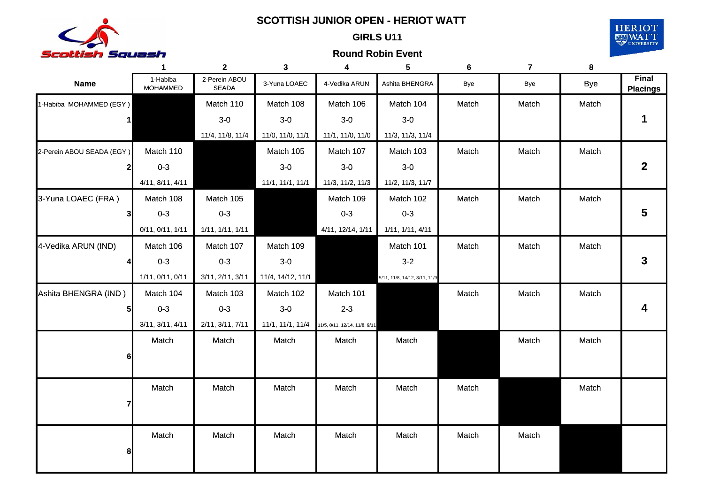

### GIRLS **SCOTTISH JUNIOR OPEN HERIOT WATT -SCOTTISH JUNIOR OPEN - HERIOT**

# **GIRLS U11 GIRLS**



|                           | $\mathbf{1}$                | 2 <sup>1</sup>                | 3                 | 4                                              | 5                             | 6     | $\overline{7}$ | 8          |                                 |
|---------------------------|-----------------------------|-------------------------------|-------------------|------------------------------------------------|-------------------------------|-------|----------------|------------|---------------------------------|
| <b>Name</b>               | 1-Habiba<br><b>MOHAMMED</b> | 2-Perein ABOU<br><b>SEADA</b> | 3-Yuna LOAEC      | 4-Vedika ARUN                                  | Ashita BHENGRA                | Bye   | Bye            | <b>Bye</b> | <b>Final</b><br><b>Placings</b> |
| 1-Habiba MOHAMMED (EGY)   |                             | Match 110                     | Match 108         | Match 106                                      | Match 104                     | Match | Match          | Match      |                                 |
|                           |                             | $3-0$                         | $3-0$             | $3-0$                                          | $3-0$                         |       |                |            |                                 |
|                           |                             | 11/4, 11/8, 11/4              | 11/0, 11/0, 11/1  | 11/1, 11/0, 11/0                               | 11/3, 11/3, 11/4              |       |                |            |                                 |
| 2-Perein ABOU SEADA (EGY) | Match 110                   |                               | Match 105         | Match 107                                      | Match 103                     | Match | Match          | Match      |                                 |
|                           | $0 - 3$                     |                               | $3-0$             | $3-0$                                          | $3-0$                         |       |                |            | $\mathbf{2}$                    |
|                           | 4/11, 8/11, 4/11            |                               | 11/1, 11/1, 11/1  | 11/3, 11/2, 11/3                               | 11/2, 11/3, 11/7              |       |                |            |                                 |
| 3-Yuna LOAEC (FRA)        | Match 108                   | Match 105                     |                   | Match 109                                      | Match 102                     | Match | Match          | Match      |                                 |
|                           | $0 - 3$                     | $0 - 3$                       |                   | $0 - 3$                                        | $0 - 3$                       |       |                |            | 5                               |
|                           | 0/11, 0/11, 1/11            | 1/11, 1/11, 1/11              |                   | 4/11, 12/14, 1/11                              | 1/11, 1/11, 4/11              |       |                |            |                                 |
| 4-Vedika ARUN (IND)       | Match 106                   | Match 107                     | Match 109         |                                                | Match 101                     | Match | Match          | Match      |                                 |
|                           | $0 - 3$                     | $0 - 3$                       | $3-0$             |                                                | $3-2$                         |       |                |            | 3                               |
|                           | 1/11, 0/11, 0/11            | 3/11, 2/11, 3/11              | 11/4, 14/12, 11/1 |                                                | 5/11, 11/8, 14/12, 8/11, 11/9 |       |                |            |                                 |
| Ashita BHENGRA (IND)      | Match 104                   | Match 103                     | Match 102         | Match 101                                      |                               | Match | Match          | Match      |                                 |
|                           | $0-3$                       | $0 - 3$                       | $3-0$             | $2 - 3$                                        |                               |       |                |            |                                 |
|                           | 3/11, 3/11, 4/11            | 2/11, 3/11, 7/11              |                   | 11/1, 11/1, 11/4 11/5, 8/11, 12/14, 11/8, 9/11 |                               |       |                |            |                                 |
|                           | Match                       | Match                         | Match             | Match                                          | Match                         |       | Match          | Match      |                                 |
|                           |                             |                               |                   |                                                |                               |       |                |            |                                 |
|                           |                             |                               |                   |                                                |                               |       |                |            |                                 |
|                           | Match                       | Match                         | Match             | Match                                          | Match                         | Match |                | Match      |                                 |
|                           |                             |                               |                   |                                                |                               |       |                |            |                                 |
|                           |                             |                               |                   |                                                |                               |       |                |            |                                 |
|                           | Match                       | Match                         | Match             | Match                                          | Match                         | Match | Match          |            |                                 |
|                           |                             |                               |                   |                                                |                               |       |                |            |                                 |
|                           |                             |                               |                   |                                                |                               |       |                |            |                                 |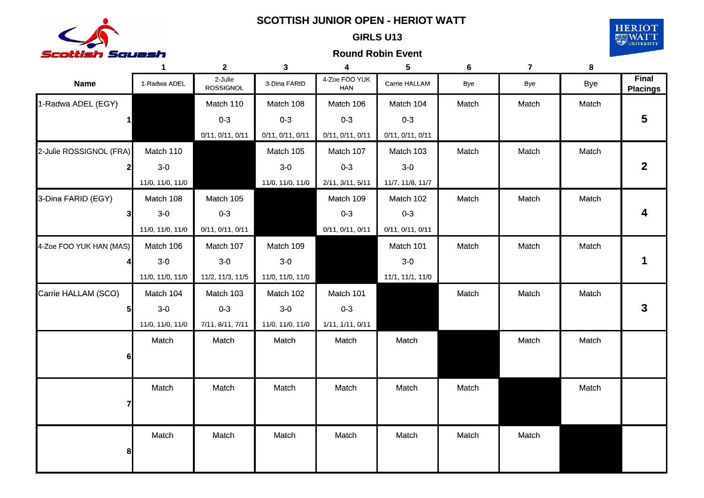

### GIRLS **SCOTTISH JUNIOR OPEN HERIOT WATT -SCOTTISH JUNIOR OPEN - HERIOT**

# **GIRLS U13 GIRLS**



|                         | $\mathbf 1$      | $\mathbf{2}$                | 3                | 4                    | 5                | 6     | 7     | 8          |                          |
|-------------------------|------------------|-----------------------------|------------------|----------------------|------------------|-------|-------|------------|--------------------------|
| <b>Name</b>             | 1-Radwa ADEL     | 2-Julie<br><b>ROSSIGNOL</b> | 3-Dina FARID     | 4-Zoe FOO YUK<br>HAN | Carrie HALLAM    | Bye   | Bye   | <b>Bye</b> | Final<br><b>Placings</b> |
| 1-Radwa ADEL (EGY)      |                  | Match 110                   | Match 108        | Match 106            | Match 104        | Match | Match | Match      |                          |
| $\mathbf{1}$            |                  | $0 - 3$                     | $0 - 3$          | $0 - 3$              | $0 - 3$          |       |       |            | 5                        |
|                         |                  | 0/11, 0/11, 0/11            | 0/11, 0/11, 0/11 | 0/11, 0/11, 0/11     | 0/11, 0/11, 0/11 |       |       |            |                          |
| 2-Julie ROSSIGNOL (FRA) | Match 110        |                             | Match 105        | Match 107            | Match 103        | Match | Match | Match      |                          |
|                         | $3-0$            |                             | $3-0$            | $0 - 3$              | $3-0$            |       |       |            | $\mathbf{2}$             |
|                         | 11/0, 11/0, 11/0 |                             | 11/0, 11/0, 11/0 | 2/11, 3/11, 5/11     | 11/7, 11/8, 11/7 |       |       |            |                          |
| 3-Dina FARID (EGY)      | Match 108        | Match 105                   |                  | Match 109            | Match 102        | Match | Match | Match      |                          |
| 31                      | $3-0$            | $0 - 3$                     |                  | $0 - 3$              | $0 - 3$          |       |       |            | 4                        |
|                         | 11/0, 11/0, 11/0 | 0/11, 0/11, 0/11            |                  | 0/11, 0/11, 0/11     | 0/11, 0/11, 0/11 |       |       |            |                          |
| 4-Zoe FOO YUK HAN (MAS) | Match 106        | Match 107                   | Match 109        |                      | Match 101        | Match | Match | Match      |                          |
|                         | $3-0$            | $3-0$                       | $3-0$            |                      | $3-0$            |       |       |            | 1                        |
|                         | 11/0, 11/0, 11/0 | 11/2, 11/3, 11/5            | 11/0, 11/0, 11/0 |                      | 11/1, 11/1, 11/0 |       |       |            |                          |
| Carrie HALLAM (SCO)     | Match 104        | Match 103                   | Match 102        | Match 101            |                  | Match | Match | Match      |                          |
|                         | $3-0$            | $0 - 3$                     | $3-0$            | $0 - 3$              |                  |       |       |            | 3                        |
|                         | 11/0, 11/0, 11/0 | 7/11, 8/11, 7/11            | 11/0, 11/0, 11/0 | 1/11, 1/11, 0/11     |                  |       |       |            |                          |
|                         | Match            | Match                       | Match            | Match                | Match            |       | Match | Match      |                          |
| 61                      |                  |                             |                  |                      |                  |       |       |            |                          |
|                         |                  |                             |                  |                      |                  |       |       |            |                          |
|                         | Match            | Match                       | Match            | Match                | Match            | Match |       | Match      |                          |
|                         |                  |                             |                  |                      |                  |       |       |            |                          |
|                         |                  |                             |                  |                      |                  |       |       |            |                          |
|                         | Match            | Match                       | Match            | Match                | Match            | Match | Match |            |                          |
| 8                       |                  |                             |                  |                      |                  |       |       |            |                          |
|                         |                  |                             |                  |                      |                  |       |       |            |                          |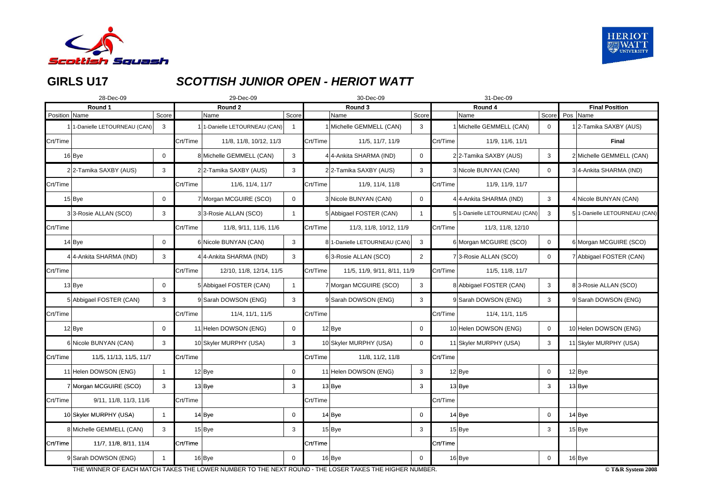

# **GIRLS U17**

# **GIRLS** *SCOTTISH JUNIOR OPEN HERIOT WATT SCOTTISH JUNIOR OPEN - HERIOT*

|               | 28-Dec-09                     |                |          | 29-Dec-09                   |                |          | 30-Dec-09                    |                |          | 31-Dec-09                     |                |                               |
|---------------|-------------------------------|----------------|----------|-----------------------------|----------------|----------|------------------------------|----------------|----------|-------------------------------|----------------|-------------------------------|
|               | Round 1                       |                |          | Round 2                     |                |          | Round 3                      |                |          | Round 4                       |                | <b>Final Position</b>         |
| Position Name |                               | Score          |          | Name                        | Score          |          | Name                         | Score          |          | Name                          | Score Pos Name |                               |
|               | 1 1-Danielle LETOURNEAU (CAN) | 3              |          | 1-Danielle LETOURNEAU (CAN) |                |          | Michelle GEMMELL (CAN)       | 3              |          | 1 Michelle GEMMELL (CAN)      | 0              | 2-Tamika SAXBY (AUS)          |
| Crt/Time      |                               |                | Crt/Time | 11/8, 11/8, 10/12, 11/3     |                | Crt/Time | 11/5, 11/7, 11/9             |                | Crt/Time | 11/9, 11/6, 11/1              |                | <b>Final</b>                  |
|               | 16Bye                         | $\mathbf 0$    |          | 8 Michelle GEMMELL (CAN)    | 3              |          | 4 4-Ankita SHARMA (IND)      | $\mathbf{0}$   |          | 22-Tamika SAXBY (AUS)         | 3              | 2 Michelle GEMMELL (CAN)      |
|               | 22-Tamika SAXBY (AUS)         | 3              |          | 22-Tamika SAXBY (AUS)       | 3              |          | 22-Tamika SAXBY (AUS)        | 3              |          | 3 Nicole BUNYAN (CAN)         | $\Omega$       | 34-Ankita SHARMA (IND)        |
| Crt/Time      |                               |                | Crt/Time | 11/6, 11/4, 11/7            |                | Crt/Time | 11/9, 11/4, 11/8             |                | Crt/Time | 11/9, 11/9, 11/7              |                |                               |
|               | $15$ Bye                      | $\overline{0}$ |          | 7 Morgan MCGUIRE (SCO)      | $\mathbf 0$    |          | 3 Nicole BUNYAN (CAN)        | $\mathbf{0}$   |          | 4 4-Ankita SHARMA (IND)       | 3              | 4 Nicole BUNYAN (CAN)         |
|               | 33-Rosie ALLAN (SCO)          | 3              |          | 33-Rosie ALLAN (SCO)        | -1             |          | 5 Abbigael FOSTER (CAN)      |                |          | 5 1-Danielle LETOURNEAU (CAN) | 3              | 5 1-Danielle LETOURNEAU (CAN) |
| Crt/Time      |                               |                | Crt/Time | 11/8, 9/11, 11/6, 11/6      |                | Crt/Time | 11/3, 11/8, 10/12, 11/9      |                | Crt/Time | 11/3, 11/8, 12/10             |                |                               |
|               | $14$ Bye                      | $\mathbf 0$    |          | 6 Nicole BUNYAN (CAN)       | 3              |          | 81-Danielle LETOURNEAU (CAN) | $\mathbf{3}$   |          | 6 Morgan MCGUIRE (SCO)        | 0              | 6 Morgan MCGUIRE (SCO)        |
|               | 4 4-Ankita SHARMA (IND)       | 3              |          | 4 4-Ankita SHARMA (IND)     | $\mathbf{3}$   |          | 63-Rosie ALLAN (SCO)         | $2^{\circ}$    |          | 73-Rosie ALLAN (SCO)          | $\mathbf 0$    | 7 Abbigael FOSTER (CAN)       |
| Crt/Time      |                               |                | Crt/Time | 12/10, 11/8, 12/14, 11/5    |                | Crt/Time | 11/5, 11/9, 9/11, 8/11, 11/9 |                | Crt/Time | 11/5, 11/8, 11/7              |                |                               |
|               | $13$ Bye                      | $\mathbf 0$    |          | 5 Abbigael FOSTER (CAN)     | $\overline{1}$ |          | 7 Morgan MCGUIRE (SCO)       | 3              |          | 8 Abbigael FOSTER (CAN)       | 3              | 83-Rosie ALLAN (SCO)          |
|               | 5 Abbigael FOSTER (CAN)       | 3              |          | 9 Sarah DOWSON (ENG)        | 3              |          | 9 Sarah DOWSON (ENG)         | 3              |          | 9 Sarah DOWSON (ENG)          | 3              | 9 Sarah DOWSON (ENG)          |
| Crt/Time      |                               |                | Crt/Time | 11/4, 11/1, 11/5            |                | Crt/Time |                              |                | Crt/Time | 11/4, 11/1, 11/5              |                |                               |
|               | $12$ Bye                      | 0              |          | 11 Helen DOWSON (ENG)       | $\mathsf{O}$   |          | $12$ Bye                     | $\mathbf{0}$   |          | 10 Helen DOWSON (ENG)         | 0              | 10 Helen DOWSON (ENG)         |
|               | 6 Nicole BUNYAN (CAN)         | 3              |          | 10 Skyler MURPHY (USA)      | 3              |          | 10 Skyler MURPHY (USA)       | $\overline{0}$ |          | 11 Skyler MURPHY (USA)        | 3              | 11 Skyler MURPHY (USA)        |
| Crt/Time      | 11/5, 11/13, 11/5, 11/7       |                | Crt/Time |                             |                | Crt/Time | 11/8, 11/2, 11/8             |                | Crt/Time |                               |                |                               |
|               | 11 Helen DOWSON (ENG)         |                |          | $12$ Bye                    | $\overline{0}$ |          | 11 Helen DOWSON (ENG)        | $\mathbf{3}$   |          | $12$ Bye                      | $\mathbf 0$    | $12$ Bye                      |
|               | 7 Morgan MCGUIRE (SCO)        | 3              |          | $13$ Bye                    | 3              |          | $13$ Bye                     | 3              |          | $13$ Bye                      | 3              | $13$ Bye                      |
| Crt/Time      | 9/11, 11/8, 11/3, 11/6        |                | Crt/Time |                             |                | Crt/Time |                              |                | Crt/Time |                               |                |                               |
|               | 10 Skyler MURPHY (USA)        | $\overline{1}$ |          | $14$ Bye                    | $\mathbf{0}$   |          | $14$ Bye                     | $\mathbf{0}$   |          | $14$ Bye                      | $\bf{0}$       | $14$ Bye                      |
|               | 8 Michelle GEMMELL (CAN)      | 3              |          | $15$ Bye                    | $\mathbf{3}$   |          | $15$ Bye                     | $\mathbf{3}$   |          | $15$ Bye                      | 3              | $15$ Bye                      |
| Crt/Time      | 11/7, 11/8, 8/11, 11/4        |                | Crt/Time |                             |                | Crt/Time |                              |                | Crt/Time |                               |                |                               |
|               | 9 Sarah DOWSON (ENG)          | - 1            |          | $16$ Bye                    | $\overline{0}$ |          | $16$ Bye                     | $\overline{0}$ |          | 16 Bye                        | $\mathbf 0$    | 16 Bye                        |

THE WINNER OF EACH MATCH TAKES THE LOWER NUMBER TO THE NEXT ROUND - THE LOSER TAKES THE HIGHER NUMBER.  $\rm C T$  takes the system 2008